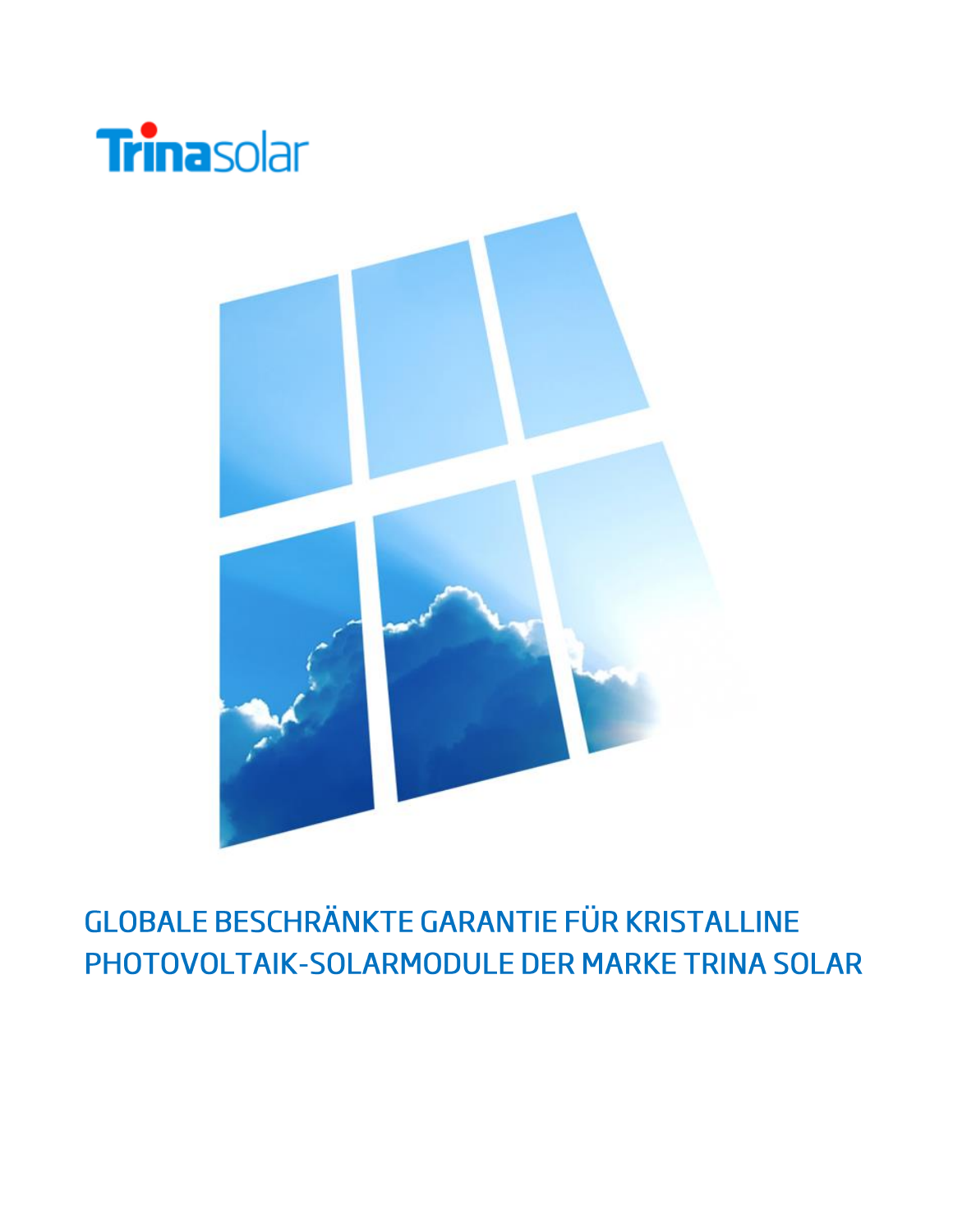



### **GLOBALE BESCHRÄNKTE GARANTIE FÜR KRISTALLINE** PHOTOVOLTAIK-SOLARMODULE DER MARKE TRINA SOLAR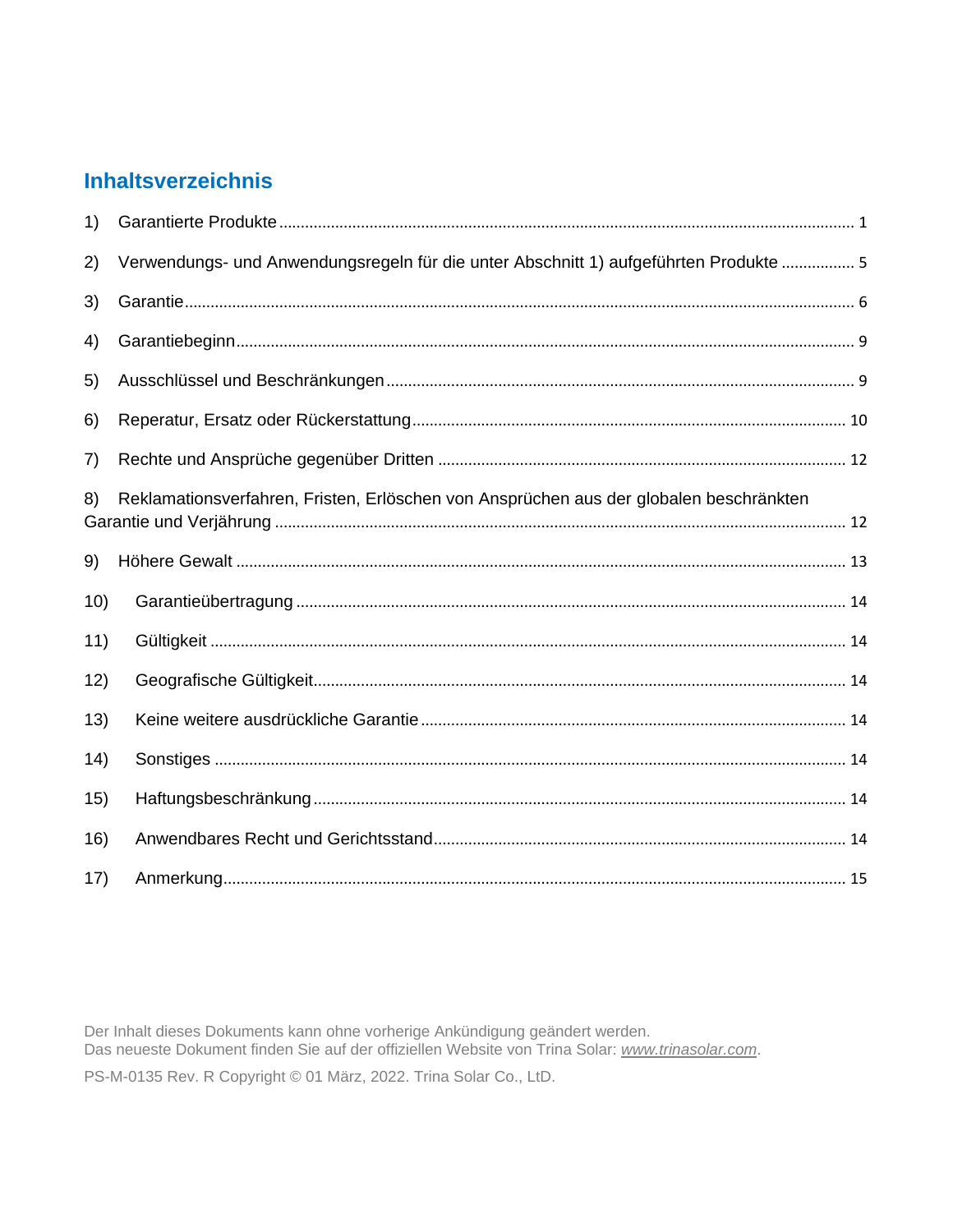### **Inhaltsverzeichnis**

| 1)   |                                                                                        |  |
|------|----------------------------------------------------------------------------------------|--|
| 2)   | Verwendungs- und Anwendungsregeln für die unter Abschnitt 1) aufgeführten Produkte  5  |  |
| 3)   |                                                                                        |  |
| 4)   |                                                                                        |  |
| 5)   |                                                                                        |  |
| 6)   |                                                                                        |  |
| 7)   |                                                                                        |  |
| 8)   | Reklamationsverfahren, Fristen, Erlöschen von Ansprüchen aus der globalen beschränkten |  |
| 9)   |                                                                                        |  |
| 10)  |                                                                                        |  |
| 11)  |                                                                                        |  |
| 12)  |                                                                                        |  |
| 13)  |                                                                                        |  |
| (14) |                                                                                        |  |
| 15)  |                                                                                        |  |
| 16)  |                                                                                        |  |
| 17)  |                                                                                        |  |

Der Inhalt dieses Dokuments kann ohne vorherige Ankündigung geändert werden.<br>Das neueste Dokument finden Sie auf der offiziellen Website von Trina Solar: www.trinasolar.com. PS-M-0135 Rev. R Copyright © 01 März, 2022. Trina Solar Co., LtD.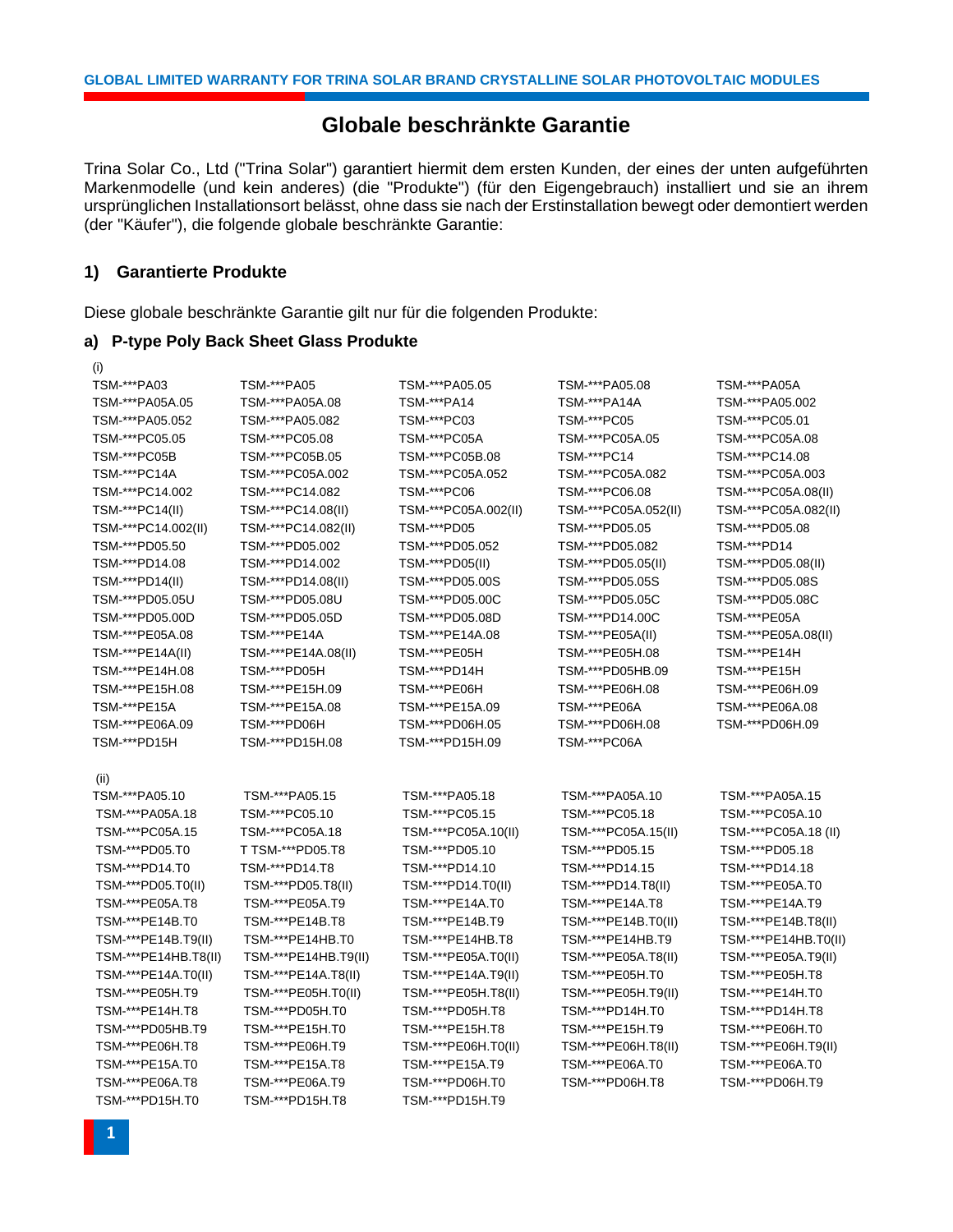#### **Globale beschränkte Garantie**

Trina Solar Co., Ltd ("Trina Solar") garantiert hiermit dem ersten Kunden, der eines der unten aufgeführten Markenmodelle (und kein anderes) (die "Produkte") (für den Eigengebrauch) installiert und sie an ihrem ursprünglichen Installationsort belässt, ohne dass sie nach der Erstinstallation bewegt oder demontiert werden (der "Käufer"), die folgende globale beschränkte Garantie:

#### <span id="page-3-0"></span>**1) Garantierte Produkte**

Diese globale beschränkte Garantie gilt nur für die folgenden Produkte:

#### **a) P-type Poly Back Sheet Glass Produkte**

| (i)                  |                      |                      |                      |                      |
|----------------------|----------------------|----------------------|----------------------|----------------------|
| TSM-***PA03          | TSM-***PA05          | TSM-***PA05.05       | TSM-***PA05.08       | TSM-***PA05A         |
| TSM-***PA05A.05      | TSM-***PA05A.08      | TSM-***PA14          | TSM-***PA14A         | TSM-***PA05.002      |
| TSM-***PA05.052      | TSM-***PA05.082      | TSM-***PC03          | TSM-***PC05          | TSM-***PC05.01       |
| TSM-***PC05.05       | TSM-***PC05.08       | TSM-***PC05A         | TSM-***PC05A.05      | TSM-***PC05A.08      |
| TSM-***PC05B         | TSM-***PC05B.05      | TSM-***PC05B.08      | TSM-***PC14          | TSM-***PC14.08       |
| TSM-***PC14A         | TSM-***PC05A.002     | TSM-***PC05A.052     | TSM-***PC05A.082     | TSM-***PC05A.003     |
| TSM-***PC14.002      | TSM-***PC14.082      | TSM-***PC06          | TSM-***PC06.08       | TSM-***PC05A.08(II)  |
| TSM-***PC14(II)      | TSM-***PC14.08(II)   | TSM-***PC05A.002(II) | TSM-***PC05A.052(II) | TSM-***PC05A.082(II) |
| TSM-***PC14.002(II)  | TSM-***PC14.082(II)  | TSM-***PD05          | TSM-***PD05.05       | TSM-***PD05.08       |
| TSM-***PD05.50       | TSM-***PD05.002      | TSM-***PD05.052      | TSM-***PD05.082      | TSM-***PD14          |
| TSM-***PD14.08       | TSM-***PD14.002      | TSM-***PD05(II)      | TSM-***PD05.05(II)   | TSM-***PD05.08(II)   |
| TSM-***PD14(II)      | TSM-***PD14.08(II)   | TSM-***PD05.00S      | TSM-***PD05.05S      | TSM-***PD05.08S      |
| TSM-***PD05.05U      | TSM-***PD05.08U      | TSM-***PD05.00C      | TSM-***PD05.05C      | TSM-***PD05.08C      |
| TSM-***PD05.00D      | TSM-***PD05.05D      | TSM-***PD05.08D      | TSM-***PD14.00C      | TSM-***PE05A         |
| TSM-***PE05A.08      | TSM-***PE14A         | TSM-***PE14A.08      | TSM-***PE05A(II)     | TSM-***PE05A.08(II)  |
| TSM-***PE14A(II)     | TSM-***PE14A.08(II)  | TSM-***PE05H         | TSM-***PE05H.08      | TSM-***PE14H         |
| TSM-***PE14H.08      | TSM-***PD05H         | TSM-***PD14H         | TSM-***PD05HB.09     | TSM-***PE15H         |
| TSM-***PE15H.08      | TSM-***PE15H.09      | TSM-***PE06H         | TSM-***PE06H.08      | TSM-***PE06H.09      |
| TSM-***PE15A         | TSM-***PE15A.08      | TSM-***PE15A.09      | TSM-***PE06A         | TSM-***PE06A.08      |
| TSM-***PE06A.09      | TSM-***PD06H         | TSM-***PD06H.05      | TSM-***PD06H.08      | TSM-***PD06H.09      |
| TSM-***PD15H         | TSM-***PD15H.08      | TSM-***PD15H.09      | TSM-***PC06A         |                      |
|                      |                      |                      |                      |                      |
| (ii)                 |                      |                      |                      |                      |
| TSM-***PA05.10       | TSM-***PA05.15       | TSM-***PA05.18       | TSM-***PA05A.10      | TSM-***PA05A.15      |
| TSM-***PA05A.18      | TSM-***PC05.10       | TSM-***PC05.15       | TSM-***PC05.18       | TSM-***PC05A.10      |
| TSM-***PC05A.15      | TSM-***PC05A.18      | TSM-***PC05A.10(II)  | TSM-***PC05A.15(II)  | TSM-***PC05A.18 (II) |
| TSM-***PD05.T0       | T TSM-***PD05.T8     | TSM-***PD05.10       | TSM-***PD05.15       | TSM-***PD05.18       |
| TSM-***PD14.T0       | TSM-***PD14.T8       | TSM-***PD14.10       | TSM-***PD14.15       | TSM-***PD14.18       |
| TSM-***PD05.T0(II)   | TSM-***PD05.T8(II)   | TSM-***PD14.T0(II)   | TSM-***PD14.T8(II)   | TSM-***PE05A.T0      |
| TSM-***PE05A.T8      | TSM-***PE05A.T9      | TSM-***PE14A.T0      | TSM-***PE14A.T8      | TSM-***PE14A.T9      |
| TSM-***PE14B.T0      | TSM-***PE14B.T8      | TSM-***PE14B.T9      | TSM-***PE14B.T0(II)  | TSM-***PE14B.T8(II)  |
| TSM-***PE14B.T9(II)  | TSM-***PE14HB.T0     | TSM-***PE14HB.T8     | TSM-***PE14HB.T9     | TSM-***PE14HB.T0(II) |
| TSM-***PE14HB.T8(II) | TSM-***PE14HB.T9(II) | TSM-***PE05A.T0(II)  | TSM-***PE05A.T8(II)  | TSM-***PE05A.T9(II)  |
| TSM-***PE14A.T0(II)  | TSM-***PE14A.T8(II)  | TSM-***PE14A.T9(II)  | TSM-***PE05H.T0      | TSM-***PE05H.T8      |
| TSM-***PE05H.T9      | TSM-***PE05H.T0(II)  | TSM-***PE05H.T8(II)  | TSM-***PE05H.T9(II)  | TSM-***PE14H.T0      |
| TSM-***PE14H.T8      | TSM-***PD05H.T0      | TSM-***PD05H.T8      | TSM-***PD14H.T0      | TSM-***PD14H.T8      |
| TSM-***PD05HB.T9     | TSM-***PE15H.T0      | TSM-***PE15H.T8      | TSM-***PE15H.T9      | TSM-***PE06H.T0      |
| TSM-***PE06H.T8      | TSM-***PE06H.T9      | TSM-***PE06H.T0(II)  | TSM-***PE06H.T8(II)  | TSM-***PE06H.T9(II)  |
| TSM-***PE15A.T0      | TSM-***PE15A.T8      | TSM-***PE15A.T9      | TSM-***PE06A.T0      | TSM-***PE06A.T0      |
|                      |                      |                      |                      |                      |
| TSM-***PE06A.T8      | TSM-***PE06A.T9      | TSM-***PD06H.T0      | TSM-***PD06H.T8      | TSM-***PD06H.T9      |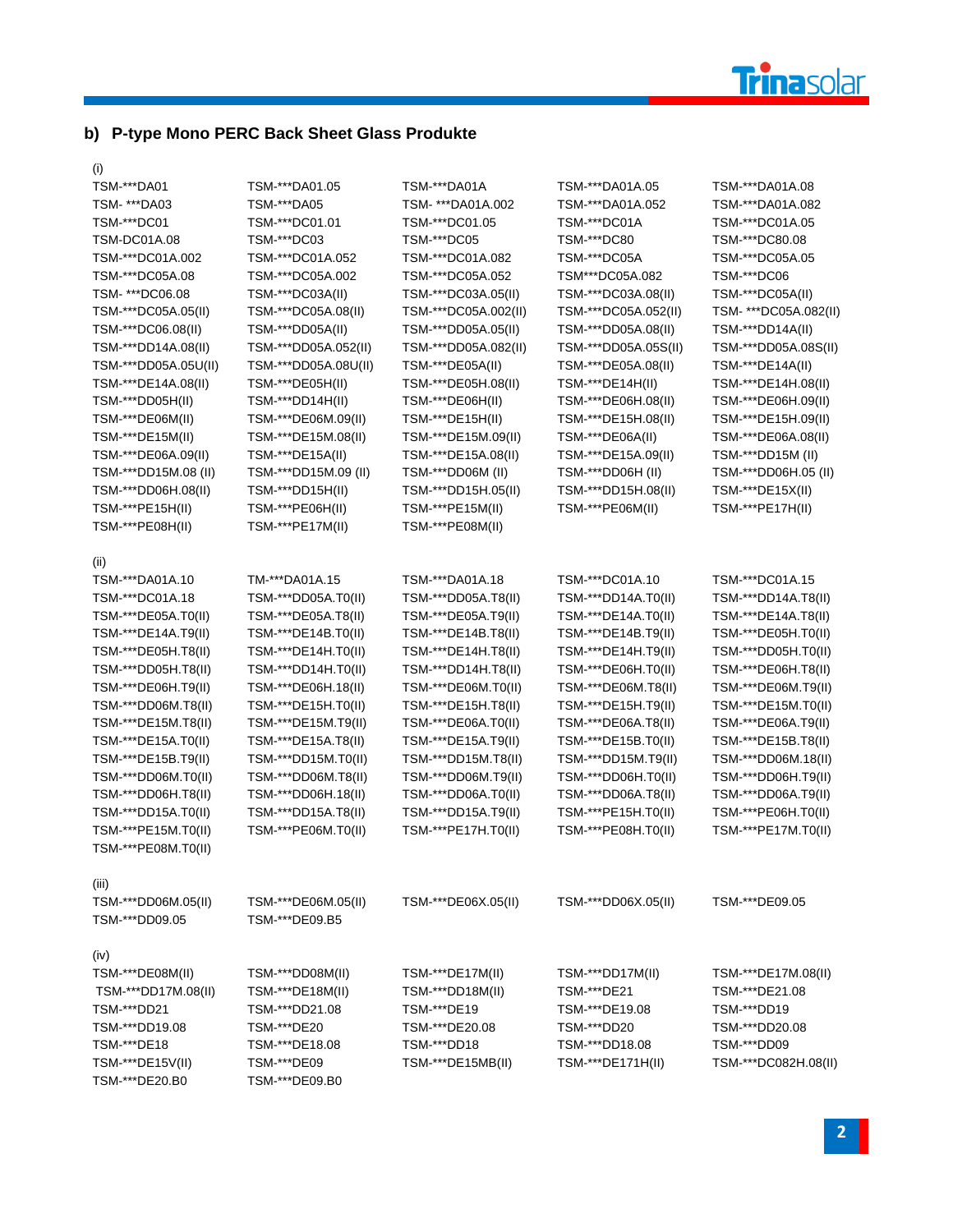

#### **b) P-type Mono PERC Back Sheet Glass Produkte**

(i)

| TSM-***DA01          | TSM-***DA01.05       | TSM-***DA01A         | TSM-***DA01A.05      | TSM-***DA01A.08       |
|----------------------|----------------------|----------------------|----------------------|-----------------------|
| TSM- ***DA03         | TSM-***DA05          | TSM- ***DA01A.002    | TSM-***DA01A.052     | TSM-***DA01A.082      |
| TSM-***DC01          | TSM-***DC01.01       | TSM-***DC01.05       | TSM-***DC01A         | TSM-***DC01A.05       |
| TSM-DC01A.08         | TSM-***DC03          | TSM-***DC05          | TSM-***DC80          | TSM-***DC80.08        |
| TSM-***DC01A.002     | TSM-***DC01A.052     | TSM-***DC01A.082     | TSM-***DC05A         | TSM-***DC05A.05       |
| TSM-***DC05A.08      | TSM-***DC05A.002     | TSM-***DC05A.052     | TSM***DC05A.082      | TSM-***DC06           |
| TSM- ***DC06.08      | TSM-***DC03A(II)     | TSM-***DC03A.05(II)  | TSM-***DC03A.08(II)  | TSM-***DC05A(II)      |
| TSM-***DC05A.05(II)  | TSM-***DC05A.08(II)  | TSM-***DC05A.002(II) | TSM-***DC05A.052(II) | TSM- ***DC05A.082(II) |
| TSM-***DC06.08(II)   | TSM-***DD05A(II)     | TSM-***DD05A.05(II)  | TSM-***DD05A.08(II)  | TSM-***DD14A(II)      |
| TSM-***DD14A.08(II)  | TSM-***DD05A.052(II) | TSM-***DD05A.082(II) | TSM-***DD05A.05S(II) | TSM-***DD05A.08S(II)  |
| TSM-***DD05A.05U(II) | TSM-***DD05A.08U(II) | TSM-***DE05A(II)     | TSM-***DE05A.08(II)  | TSM-***DE14A(II)      |
| TSM-***DE14A.08(II)  | TSM-***DE05H(II)     | TSM-***DE05H.08(II)  | TSM-***DE14H(II)     | TSM-***DE14H.08(II)   |
| TSM-***DD05H(II)     | TSM-***DD14H(II)     | TSM-***DE06H(II)     | TSM-***DE06H.08(II)  | TSM-***DE06H.09(II)   |
| TSM-***DE06M(II)     | TSM-***DE06M.09(II)  | TSM-***DE15H(II)     | TSM-***DE15H.08(II)  | TSM-***DE15H.09(II)   |
| TSM-***DE15M(II)     | TSM-***DE15M.08(II)  | TSM-***DE15M.09(II)  | TSM-***DE06A(II)     | TSM-***DE06A.08(II)   |
| TSM-***DE06A.09(II)  | TSM-***DE15A(II)     | TSM-***DE15A.08(II)  | TSM-***DE15A.09(II)  | TSM-***DD15M (II)     |
| TSM-***DD15M.08 (II) | TSM-***DD15M.09 (II) | TSM-***DD06M (II)    | TSM-***DD06H (II)    | TSM-***DD06H.05 (II)  |
| TSM-***DD06H.08(II)  | TSM-***DD15H(II)     | TSM-***DD15H.05(II)  | TSM-***DD15H.08(II)  | TSM-***DE15X(II)      |
| TSM-***PE15H(II)     | TSM-***PE06H(II)     | TSM-***PE15M(II)     | TSM-***PE06M(II)     | TSM-***PE17H(II)      |
| TSM-***PE08H(II)     | TSM-***PE17M(II)     | TSM-***PE08M(II)     |                      |                       |
|                      |                      |                      |                      |                       |
| (II)                 |                      |                      |                      |                       |
| TSM-***DA01A.10      | TM-***DA01A.15       | TSM-***DA01A.18      | TSM-***DC01A.10      | TSM-***DC01A.15       |
| TSM-***DC01A.18      | TSM-***DD05A.T0(II)  | TSM-***DD05A.T8(II)  | TSM-***DD14A.T0(II)  | TSM-***DD14A.T8(II)   |
| TSM-***DE05A.T0(II)  | TSM-***DE05A.T8(II)  | TSM-***DE05A.T9(II)  | TSM-***DE14A.T0(II)  | TSM-***DE14A.T8(II)   |
| TSM-***DE14A.T9(II)  | TSM-***DE14B.T0(II)  | TSM-***DE14B.T8(II)  | TSM-***DE14B.T9(II)  | TSM-***DE05H.T0(II)   |
| TSM-***DE05H.T8(II)  | TSM-***DE14H.T0(II)  | TSM-***DE14H.T8(II)  | TSM-***DE14H.T9(II)  | TSM-***DD05H.T0(II)   |
| TSM-***DD05H.T8(II)  | TSM-***DD14H.T0(II)  | TSM-***DD14H.T8(II)  | TSM-***DE06H.T0(II)  | TSM-***DE06H.T8(II)   |
| TSM-***DE06H.T9(II)  | TSM-***DE06H.18(II)  | TSM-***DE06M.T0(II)  | TSM-***DE06M.T8(II)  | TSM-***DE06M.T9(II)   |
| TSM-***DD06M.T8(II)  | TSM-***DE15H.T0(II)  | TSM-***DE15H.T8(II)  | TSM-***DE15H.T9(II)  | TSM-***DE15M.T0(II)   |
| TSM-***DE15M.T8(II)  | TSM-***DE15M.T9(II)  | TSM-***DE06A.T0(II)  | TSM-***DE06A.T8(II)  | TSM-***DE06A.T9(II)   |
| TSM-***DE15A.T0(II)  | TSM-***DE15A.T8(II)  | TSM-***DE15A.T9(II)  | TSM-***DE15B.T0(II)  | TSM-***DE15B.T8(II)   |
| TSM-***DE15B.T9(II)  | TSM-***DD15M.T0(II)  | TSM-***DD15M.T8(II)  | TSM-***DD15M.T9(II)  | TSM-***DD06M.18(II)   |
| TSM-***DD06M.T0(II)  | TSM-***DD06M.T8(II)  | TSM-***DD06M.T9(II)  | TSM-***DD06H.T0(II)  | TSM-***DD06H.T9(II)   |
| TSM-***DD06H.T8(II)  | TSM-***DD06H.18(II)  | TSM-***DD06A.T0(II)  | TSM-***DD06A.T8(II)  | TSM-***DD06A.T9(II)   |
| TSM-***DD15A.T0(II)  | TSM-***DD15A.T8(II)  | TSM-***DD15A.T9(II)  | TSM-***PE15H.T0(II)  | TSM-***PE06H.T0(II)   |
| TSM-***PE15M.T0(II)  | TSM-***PE06M.T0(II)  | TSM-***PE17H.T0(II)  | TSM-***PE08H.T0(II)  | TSM-***PE17M.T0(II)   |
| TSM-***PE08M.T0(II)  |                      |                      |                      |                       |
|                      |                      |                      |                      |                       |
| (iii)                |                      |                      |                      |                       |
| TSM-***DD06M.05(II)  | TSM-***DE06M.05(II)  | TSM-***DE06X.05(II)  | TSM-***DD06X.05(II)  | TSM-***DE09.05        |
| TSM-***DD09.05       | TSM-***DE09.B5       |                      |                      |                       |
|                      |                      |                      |                      |                       |
| (iv)                 |                      |                      |                      |                       |
| TSM-***DE08M(II)     | TSM-***DD08M(II)     | TSM-***DE17M(II)     | TSM-***DD17M(II)     | TSM-***DE17M.08(II)   |
| TSM-***DD17M.08(II)  | TSM-***DE18M(II)     | TSM-***DD18M(II)     | TSM-***DE21          | TSM-***DE21.08        |
| TSM-***DD21          | TSM-***DD21.08       | TSM-***DE19          | TSM-***DE19.08       | TSM-***DD19           |
| TSM-***DD19.08       | TSM-***DE20          | TSM-***DE20.08       | TSM-***DD20          | TSM-***DD20.08        |
| TSM-***DE18          | TSM-***DE18.08       | TSM-***DD18          | TSM-***DD18.08       | TSM-***DD09           |
| TSM-***DE15V(II)     | TSM-***DE09          | TSM-***DE15MB(II)    | TSM-***DE171H(II)    | TSM-***DC082H.08(II)  |
| TSM-***DE20.B0       | TSM-***DE09.B0       |                      |                      |                       |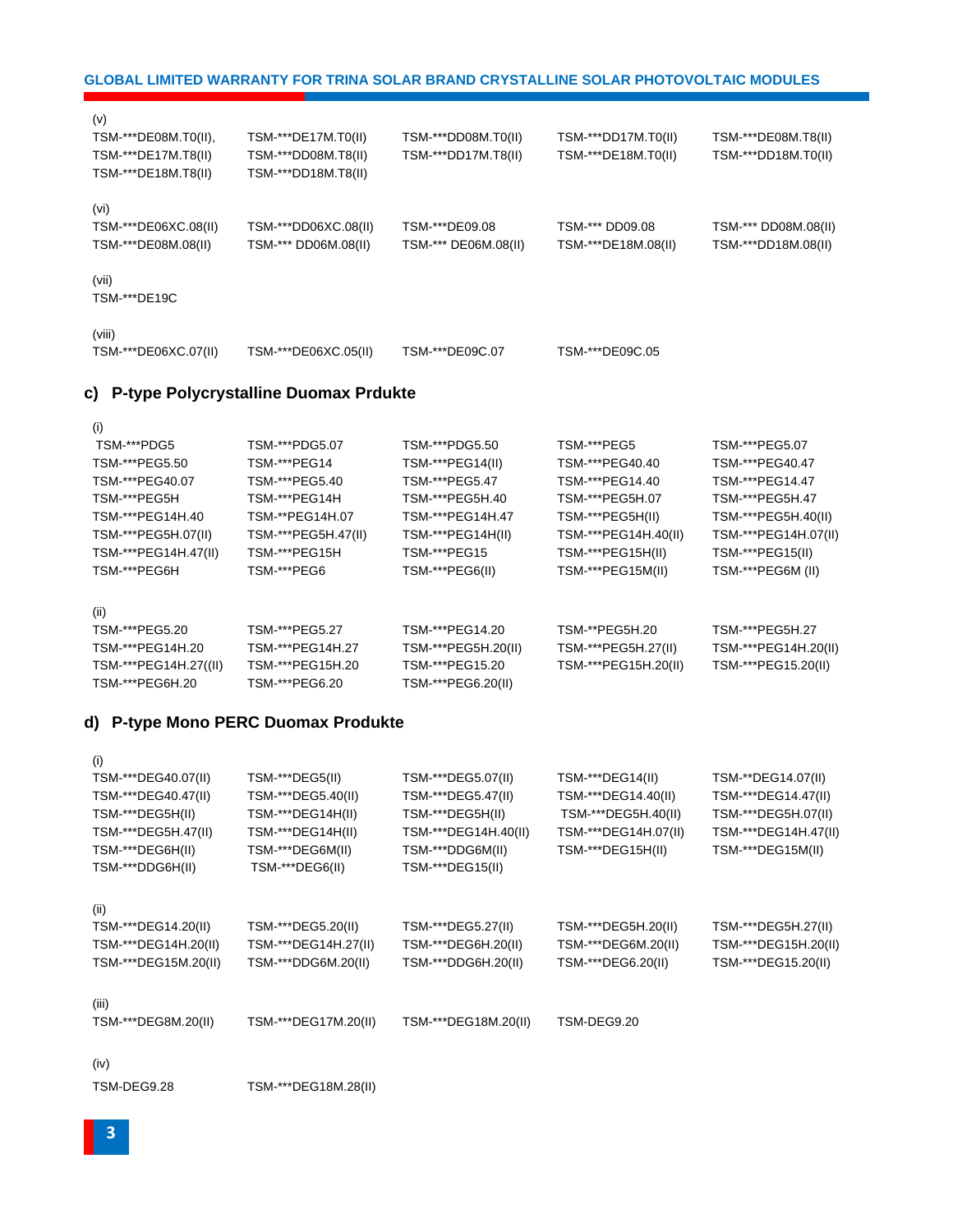TSM-DEG9.28 TSM-\*\*\*DEG18M.28(II)

(iv)

(v)

(i)

| (i)                  |                      |                      |                      |                      |
|----------------------|----------------------|----------------------|----------------------|----------------------|
| TSM-***DEG40.07(II)  | TSM-***DEG5(II)      | TSM-***DEG5.07(II)   | TSM-***DEG14(II)     | TSM-**DEG14.07(II)   |
| TSM-***DEG40.47(II)  | TSM-***DEG5.40(II)   | TSM-***DEG5.47(II)   | TSM-***DEG14.40(II)  | TSM-***DEG14.47(II)  |
| TSM-***DEG5H(II)     | TSM-***DEG14H(II)    | TSM-***DEG5H(II)     | TSM-***DEG5H.40(II)  | TSM-***DEG5H.07(II)  |
| TSM-***DEG5H.47(II)  | TSM-***DEG14H(II)    | TSM-***DEG14H.40(II) | TSM-***DEG14H.07(II) | TSM-***DEG14H.47(II) |
| TSM-***DEG6H(II)     | TSM-***DEG6M(II)     | TSM-***DDG6M(II)     | TSM-***DEG15H(II)    | TSM-***DEG15M(II)    |
| TSM-***DDG6H(II)     | TSM-***DEG6(II)      | TSM-***DEG15(II)     |                      |                      |
| (ii)                 |                      |                      |                      |                      |
| TSM-***DEG14.20(II)  | TSM-***DEG5.20(II)   | TSM-***DEG5.27(II)   | TSM-***DEG5H.20(II)  | TSM-***DEG5H.27(II)  |
| TSM-***DEG14H.20(II) | TSM-***DEG14H.27(II) | TSM-***DEG6H.20(II)  | TSM-***DEG6M.20(II)  | TSM-***DEG15H.20(II) |
| TSM-***DEG15M.20(II) | TSM-***DDG6M.20(II)  | TSM-***DDG6H.20(II)  | TSM-***DEG6.20(II)   | TSM-***DEG15.20(II)  |
| (iii)                |                      |                      |                      |                      |
| TSM-***DEG8M.20(II)  | TSM-***DEG17M.20(II) | TSM-***DEG18M.20(II) | TSM-DEG9.20          |                      |

#### **d) P-type Mono PERC Duomax Produkte**

| TSM-***PEG14H.40                                                                       | TSM-**PEG14H.07                                                          | TSM-***PEG14H.47                                                                | TSM-***PEG5H(II)                                              | TSM-***PEG5H.40(II)                                            |
|----------------------------------------------------------------------------------------|--------------------------------------------------------------------------|---------------------------------------------------------------------------------|---------------------------------------------------------------|----------------------------------------------------------------|
| TSM-***PEG5H.07(II)                                                                    | TSM-***PEG5H.47(II)                                                      | TSM-***PEG14H(II)                                                               | TSM-***PEG14H.40(II)                                          | TSM-***PEG14H.07(II)                                           |
| TSM-***PEG14H.47(II)                                                                   | TSM-***PEG15H                                                            | TSM-***PEG15                                                                    | TSM-***PEG15H(II)                                             | TSM-***PEG15(II)                                               |
| TSM-***PEG6H                                                                           | TSM-***PEG6                                                              | TSM-***PEG6(II)                                                                 | TSM-***PEG15M(II)                                             | TSM-***PEG6M (II)                                              |
| (ii)<br>TSM-***PEG5.20<br>TSM-***PEG14H.20<br>TSM-***PEG14H.27((II)<br>TSM-***PEG6H.20 | TSM-***PEG5.27<br>TSM-***PEG14H.27<br>TSM-***PEG15H.20<br>TSM-***PEG6.20 | TSM-***PEG14.20<br>TSM-***PEG5H.20(II)<br>TSM-***PEG15.20<br>TSM-***PEG6.20(II) | TSM-**PEG5H.20<br>TSM-***PEG5H.27(II)<br>TSM-***PEG15H.20(II) | TSM-***PEG5H.27<br>TSM-***PEG14H.20(II)<br>TSM-***PEG15.20(II) |

TSM-\*\*\*PDG5 TSM-\*\*\*PDG5.07 TSM-\*\*\*PDG5.50 TSM-\*\*\*PEG5 TSM-\*\*\*PEG5.07 TSM-\*\*\*PEG5.50 TSM-\*\*\*PEG14 TSM-\*\*\*PEG14(II) TSM-\*\*\*PEG40.40 TSM-\*\*\*PEG40.47 TSM-\*\*\*PEG40.07 TSM-\*\*\*PEG5.40 TSM-\*\*\*PEG5.47 TSM-\*\*\*PEG14.40 TSM-\*\*\*PEG14.47 TSM-\*\*\*PEG5H TSM-\*\*\*PEG14H TSM-\*\*\*PEG5H.40 TSM-\*\*\*PEG5H.07 TSM-\*\*\*PEG5H.47

#### **c) P-type Polycrystalline Duomax Prdukte**

| TSM-***DE17M.T8(II)  | TSM-***DD08M.T8(II)  | TSM-***DD17M.T8(II)  | TSM-***DE18M.T0(II) | TSM-***DD18M.T0(II)  |
|----------------------|----------------------|----------------------|---------------------|----------------------|
| TSM-***DE18M.T8(II)  | TSM-***DD18M.T8(II)  |                      |                     |                      |
| (vi)                 |                      |                      |                     |                      |
| TSM-***DE06XC.08(II) | TSM-***DD06XC.08(II) | TSM-***DE09.08       | TSM-*** DD09.08     | TSM-*** DD08M.08(II) |
| TSM-***DE08M.08(II)  | TSM-*** DD06M.08(II) | TSM-*** DE06M.08(II) | TSM-***DE18M.08(II) | TSM-***DD18M.08(II)  |
| (vii)                |                      |                      |                     |                      |
| TSM-***DE19C         |                      |                      |                     |                      |
| (viii)               |                      |                      |                     |                      |
| TSM-***DE06XC.07(II) | TSM-***DE06XC.05(II) | TSM-***DE09C.07      | TSM-***DE09C.05     |                      |

**GLOBAL LIMITED WARRANTY FOR TRINA SOLAR BRAND CRYSTALLINE SOLAR PHOTOVOLTAIC MODULES**

TSM-\*\*\*DE08M.T0(II), TSM-\*\*\*DE17M.T0(II) TSM-\*\*\*DD08M.T0(II) TSM-\*\*\*DD17M.T0(II) TSM-\*\*\*DE08M.T8(II)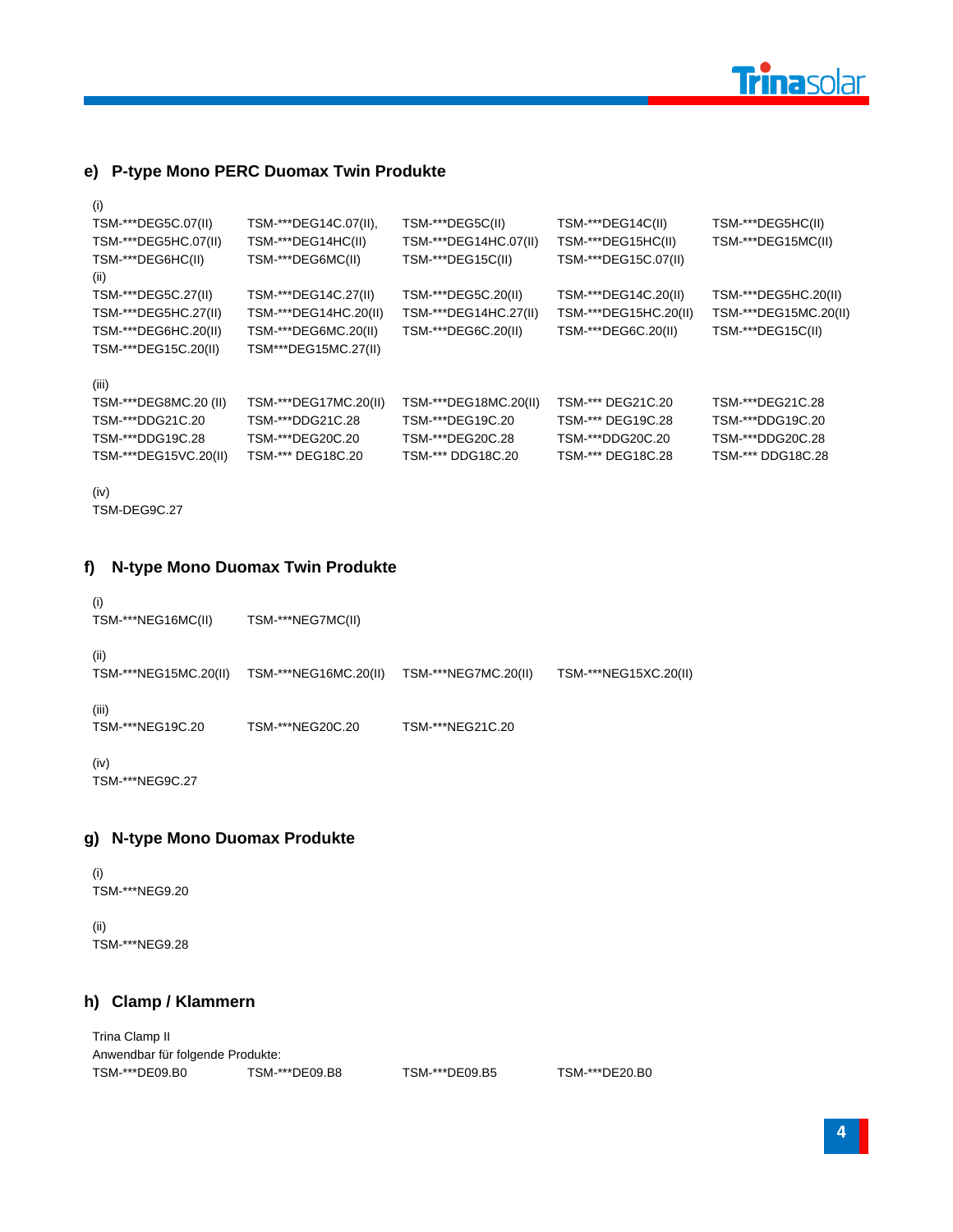

#### **e) P-type Mono PERC Duomax Twin Produkte**

| (i)                       |                       |                       |                       |                       |
|---------------------------|-----------------------|-----------------------|-----------------------|-----------------------|
| TSM-***DEG5C.07(II)       | TSM-***DEG14C.07(II), | TSM-***DEG5C(II)      | TSM-***DEG14C(II)     | TSM-***DEG5HC(II)     |
| TSM-***DEG5HC.07(II)      | TSM-***DEG14HC(II)    | TSM-***DEG14HC.07(II) | TSM-***DEG15HC(II)    | TSM-***DEG15MC(II)    |
| TSM-***DEG6HC(II)<br>(ii) | TSM-***DEG6MC(II)     | TSM-***DEG15C(II)     | TSM-***DEG15C.07(II)  |                       |
| TSM-***DEG5C.27(II)       | TSM-***DEG14C.27(II)  | TSM-***DEG5C.20(II)   | TSM-***DEG14C.20(II)  | TSM-***DEG5HC.20(II)  |
| TSM-***DEG5HC.27(II)      | TSM-***DEG14HC.20(II) | TSM-***DEG14HC.27(II) | TSM-***DEG15HC.20(II) | TSM-***DEG15MC.20(II) |
| TSM-***DEG6HC.20(II)      | TSM-***DEG6MC.20(II)  | TSM-***DEG6C.20(II)   | TSM-***DEG6C.20(II)   | TSM-***DEG15C(II)     |
| TSM-***DEG15C.20(II)      | TSM***DEG15MC.27(II)  |                       |                       |                       |
| (iii)                     |                       |                       |                       |                       |
| TSM-***DEG8MC.20 (II)     | TSM-***DEG17MC.20(II) | TSM-***DEG18MC.20(II) | TSM-*** DEG21C.20     | TSM-***DEG21C.28      |
| TSM-***DDG21C.20          | TSM-***DDG21C.28      | TSM-***DEG19C.20      | TSM-*** DEG19C.28     | TSM-***DDG19C.20      |
| TSM-***DDG19C.28          | TSM-***DEG20C.20      | TSM-***DEG20C.28      | TSM-***DDG20C.20      | TSM-***DDG20C.28      |
| TSM-***DEG15VC.20(II)     | TSM-*** DEG18C.20     | TSM-*** DDG18C.20     | TSM-*** DEG18C.28     | TSM-*** DDG18C.28     |
|                           |                       |                       |                       |                       |

```
(iv)
```
TSM-DEG9C.27

#### **f) N-type Mono Duomax Twin Produkte**

(i) TSM-\*\*\*NEG16MC(II) TSM-\*\*\*NEG7MC(II) (ii) TSM-\*\*\*NEG15MC.20(II) TSM-\*\*\*NEG16MC.20(II) TSM-\*\*\*NEG7MC.20(II) TSM-\*\*\*NEG15XC.20(II) (iii) TSM-\*\*\*NEG19C.20 TSM-\*\*\*NEG20C.20 TSM-\*\*\*NEG21C.20 (iv)

TSM-\*\*\*NEG9C.27

#### **g) N-type Mono Duomax Produkte**

(i) TSM-\*\*\*NEG9.20

(ii) TSM-\*\*\*NEG9.28

#### **h) Clamp / Klammern**

Trina Clamp II Anwendbar für folgende Produkte: TSM-\*\*\*DE09.B0 TSM-\*\*\*DE09.B8 TSM-\*\*\*DE09.B5 TSM-\*\*\*DE20.B0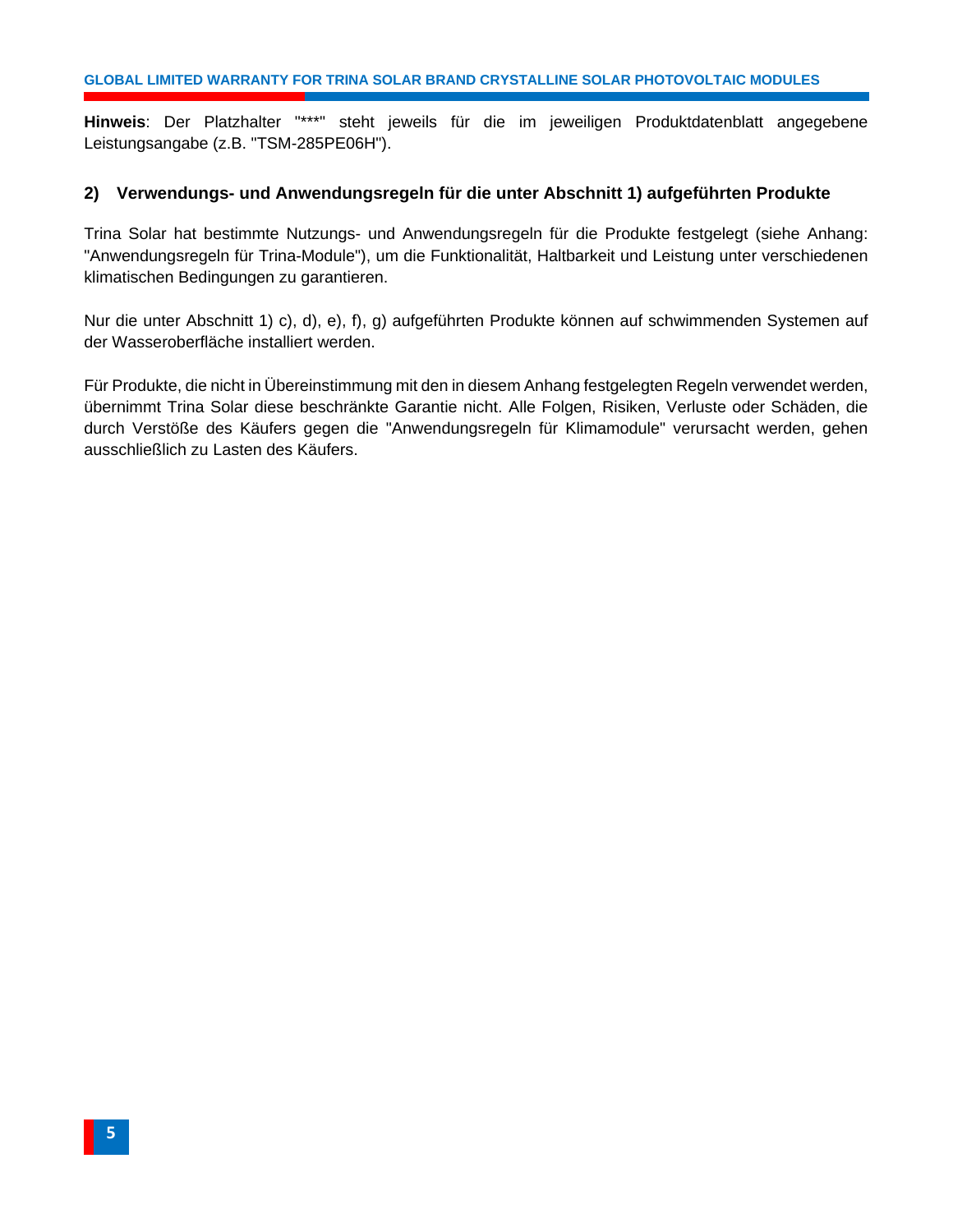**Hinweis**: Der Platzhalter "\*\*\*" steht jeweils für die im jeweiligen Produktdatenblatt angegebene Leistungsangabe (z.B. "TSM-285PE06H").

#### <span id="page-7-0"></span>**2) Verwendungs- und Anwendungsregeln für die unter Abschnitt 1) aufgeführten Produkte**

Trina Solar hat bestimmte Nutzungs- und Anwendungsregeln für die Produkte festgelegt (siehe Anhang: "Anwendungsregeln für Trina-Module"), um die Funktionalität, Haltbarkeit und Leistung unter verschiedenen klimatischen Bedingungen zu garantieren.

Nur die unter Abschnitt 1) c), d), e), f), g) aufgeführten Produkte können auf schwimmenden Systemen auf der Wasseroberfläche installiert werden.

Für Produkte, die nicht in Übereinstimmung mit den in diesem Anhang festgelegten Regeln verwendet werden, übernimmt Trina Solar diese beschränkte Garantie nicht. Alle Folgen, Risiken, Verluste oder Schäden, die durch Verstöße des Käufers gegen die "Anwendungsregeln für Klimamodule" verursacht werden, gehen ausschließlich zu Lasten des Käufers.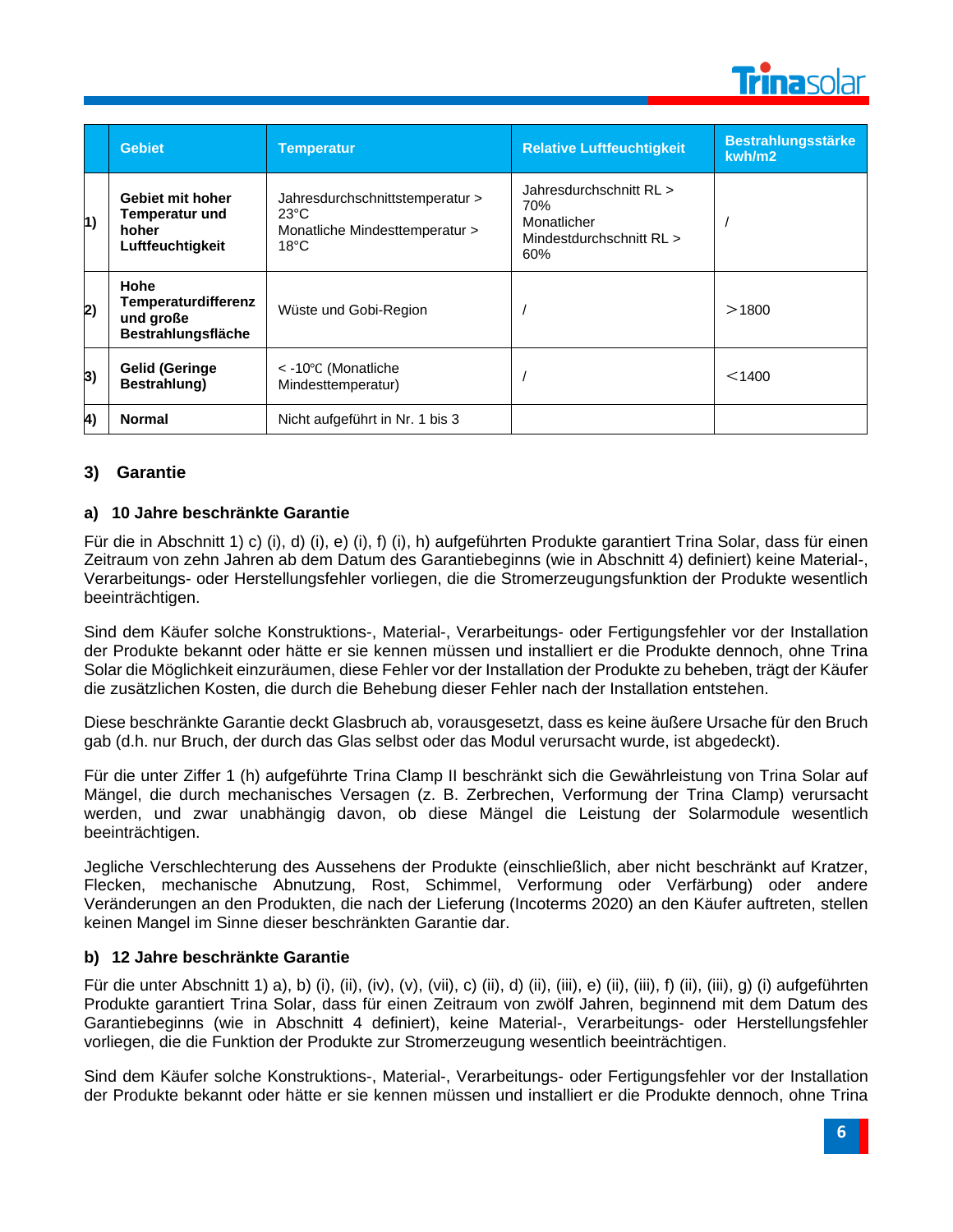

|            | <b>Gebiet</b>                                                          | <b>Temperatur</b>                                                                                     | <b>Relative Luftfeuchtigkeit</b>                                                 | <b>Bestrahlungsstärke</b><br>kwh/m2 |
|------------|------------------------------------------------------------------------|-------------------------------------------------------------------------------------------------------|----------------------------------------------------------------------------------|-------------------------------------|
| 1)         | Gebiet mit hoher<br><b>Temperatur und</b><br>hoher<br>Luftfeuchtigkeit | Jahresdurchschnittstemperatur ><br>$23^{\circ}$ C<br>Monatliche Mindesttemperatur ><br>$18^{\circ}$ C | Jahresdurchschnitt RL ><br>70%<br>Monatlicher<br>Mindestdurchschnitt RL ><br>60% |                                     |
| 2)         | Hohe<br>Temperaturdifferenz<br>und große<br><b>Bestrahlungsfläche</b>  | Wüste und Gobi-Region                                                                                 |                                                                                  | >1800                               |
| 3)         | <b>Gelid (Geringe</b><br>Bestrahlung)                                  | $<$ -10 $\degree$ C (Monatliche<br>Mindesttemperatur)                                                 |                                                                                  | $<$ 1400                            |
| $\vert$ 4) | <b>Normal</b>                                                          | Nicht aufgeführt in Nr. 1 bis 3                                                                       |                                                                                  |                                     |

#### <span id="page-8-0"></span>**3) Garantie**

#### **a) 10 Jahre beschränkte Garantie**

Für die in Abschnitt 1) c) (i), d) (i), e) (i), f) (i), h) aufgeführten Produkte garantiert Trina Solar, dass für einen Zeitraum von zehn Jahren ab dem Datum des Garantiebeginns (wie in Abschnitt 4) definiert) keine Material-, Verarbeitungs- oder Herstellungsfehler vorliegen, die die Stromerzeugungsfunktion der Produkte wesentlich beeinträchtigen.

Sind dem Käufer solche Konstruktions-, Material-, Verarbeitungs- oder Fertigungsfehler vor der Installation der Produkte bekannt oder hätte er sie kennen müssen und installiert er die Produkte dennoch, ohne Trina Solar die Möglichkeit einzuräumen, diese Fehler vor der Installation der Produkte zu beheben, trägt der Käufer die zusätzlichen Kosten, die durch die Behebung dieser Fehler nach der Installation entstehen.

Diese beschränkte Garantie deckt Glasbruch ab, vorausgesetzt, dass es keine äußere Ursache für den Bruch gab (d.h. nur Bruch, der durch das Glas selbst oder das Modul verursacht wurde, ist abgedeckt).

Für die unter Ziffer 1 (h) aufgeführte Trina Clamp II beschränkt sich die Gewährleistung von Trina Solar auf Mängel, die durch mechanisches Versagen (z. B. Zerbrechen, Verformung der Trina Clamp) verursacht werden, und zwar unabhängig davon, ob diese Mängel die Leistung der Solarmodule wesentlich beeinträchtigen.

Jegliche Verschlechterung des Aussehens der Produkte (einschließlich, aber nicht beschränkt auf Kratzer, Flecken, mechanische Abnutzung, Rost, Schimmel, Verformung oder Verfärbung) oder andere Veränderungen an den Produkten, die nach der Lieferung (Incoterms 2020) an den Käufer auftreten, stellen keinen Mangel im Sinne dieser beschränkten Garantie dar.

#### **b) 12 Jahre beschränkte Garantie**

Für die unter Abschnitt 1) a), b) (i), (ii), (iv), (v), (vii), c) (ii), d) (ii), (iii), e) (ii), (iii), f) (ii), (iii), g) (i) aufgeführten Produkte garantiert Trina Solar, dass für einen Zeitraum von zwölf Jahren, beginnend mit dem Datum des Garantiebeginns (wie in Abschnitt 4 definiert), keine Material-, Verarbeitungs- oder Herstellungsfehler vorliegen, die die Funktion der Produkte zur Stromerzeugung wesentlich beeinträchtigen.

Sind dem Käufer solche Konstruktions-, Material-, Verarbeitungs- oder Fertigungsfehler vor der Installation der Produkte bekannt oder hätte er sie kennen müssen und installiert er die Produkte dennoch, ohne Trina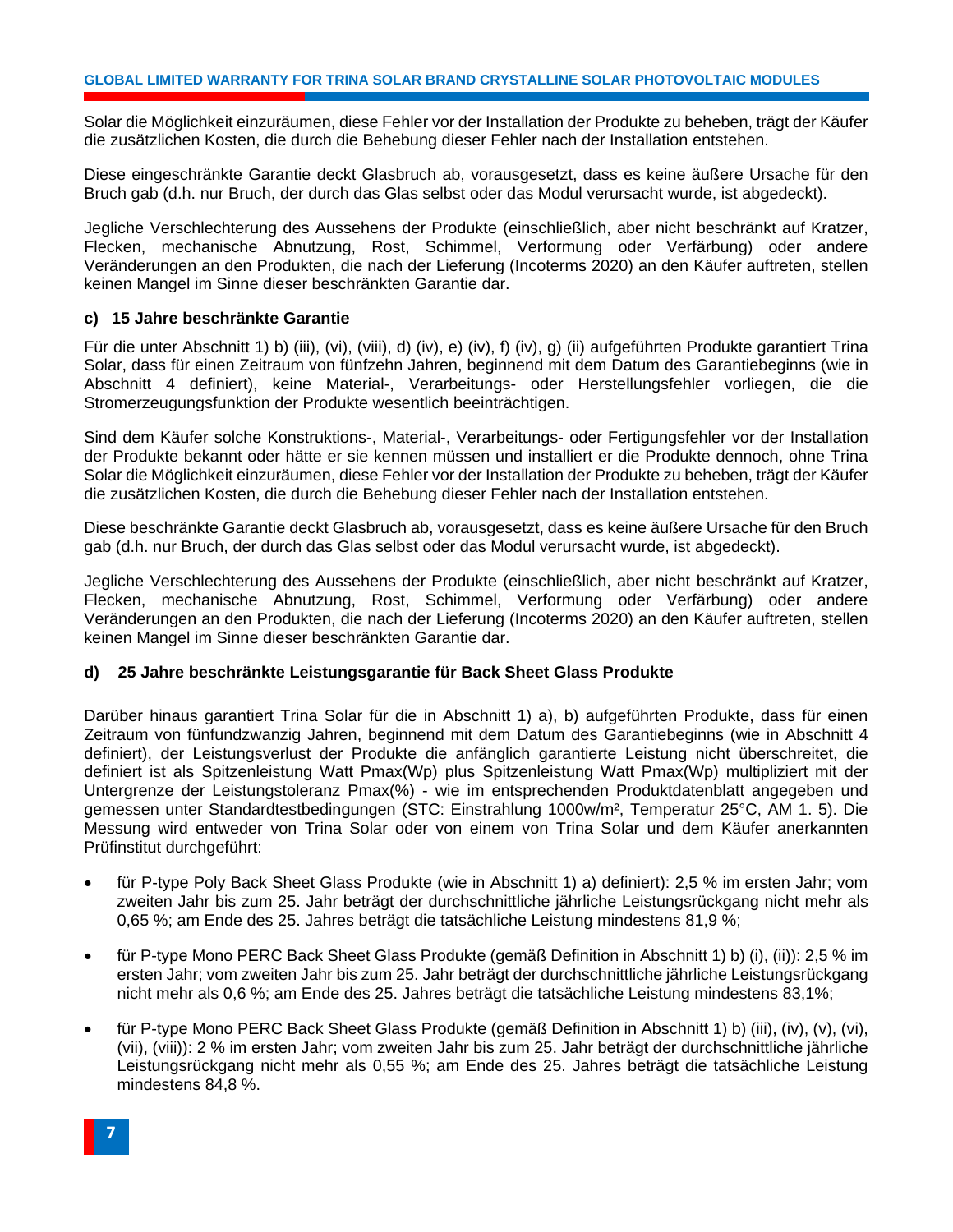Solar die Möglichkeit einzuräumen, diese Fehler vor der Installation der Produkte zu beheben, trägt der Käufer die zusätzlichen Kosten, die durch die Behebung dieser Fehler nach der Installation entstehen.

Diese eingeschränkte Garantie deckt Glasbruch ab, vorausgesetzt, dass es keine äußere Ursache für den Bruch gab (d.h. nur Bruch, der durch das Glas selbst oder das Modul verursacht wurde, ist abgedeckt).

Jegliche Verschlechterung des Aussehens der Produkte (einschließlich, aber nicht beschränkt auf Kratzer, Flecken, mechanische Abnutzung, Rost, Schimmel, Verformung oder Verfärbung) oder andere Veränderungen an den Produkten, die nach der Lieferung (Incoterms 2020) an den Käufer auftreten, stellen keinen Mangel im Sinne dieser beschränkten Garantie dar.

#### **c) 15 Jahre beschränkte Garantie**

Für die unter Abschnitt 1) b) (iii), (vi), (viii), d) (iv), e) (iv), f) (iv), g) (ii) aufgeführten Produkte garantiert Trina Solar, dass für einen Zeitraum von fünfzehn Jahren, beginnend mit dem Datum des Garantiebeginns (wie in Abschnitt 4 definiert), keine Material-, Verarbeitungs- oder Herstellungsfehler vorliegen, die die Stromerzeugungsfunktion der Produkte wesentlich beeinträchtigen.

Sind dem Käufer solche Konstruktions-, Material-, Verarbeitungs- oder Fertigungsfehler vor der Installation der Produkte bekannt oder hätte er sie kennen müssen und installiert er die Produkte dennoch, ohne Trina Solar die Möglichkeit einzuräumen, diese Fehler vor der Installation der Produkte zu beheben, trägt der Käufer die zusätzlichen Kosten, die durch die Behebung dieser Fehler nach der Installation entstehen.

Diese beschränkte Garantie deckt Glasbruch ab, vorausgesetzt, dass es keine äußere Ursache für den Bruch gab (d.h. nur Bruch, der durch das Glas selbst oder das Modul verursacht wurde, ist abgedeckt).

Jegliche Verschlechterung des Aussehens der Produkte (einschließlich, aber nicht beschränkt auf Kratzer, Flecken, mechanische Abnutzung, Rost, Schimmel, Verformung oder Verfärbung) oder andere Veränderungen an den Produkten, die nach der Lieferung (Incoterms 2020) an den Käufer auftreten, stellen keinen Mangel im Sinne dieser beschränkten Garantie dar.

#### **d) 25 Jahre beschränkte Leistungsgarantie für Back Sheet Glass Produkte**

Darüber hinaus garantiert Trina Solar für die in Abschnitt 1) a), b) aufgeführten Produkte, dass für einen Zeitraum von fünfundzwanzig Jahren, beginnend mit dem Datum des Garantiebeginns (wie in Abschnitt 4 definiert), der Leistungsverlust der Produkte die anfänglich garantierte Leistung nicht überschreitet, die definiert ist als Spitzenleistung Watt Pmax(Wp) plus Spitzenleistung Watt Pmax(Wp) multipliziert mit der Untergrenze der Leistungstoleranz Pmax(%) - wie im entsprechenden Produktdatenblatt angegeben und gemessen unter Standardtestbedingungen (STC: Einstrahlung 1000w/m², Temperatur 25°C, AM 1. 5). Die Messung wird entweder von Trina Solar oder von einem von Trina Solar und dem Käufer anerkannten Prüfinstitut durchgeführt:

- für P-type Poly Back Sheet Glass Produkte (wie in Abschnitt 1) a) definiert): 2,5 % im ersten Jahr; vom zweiten Jahr bis zum 25. Jahr beträgt der durchschnittliche jährliche Leistungsrückgang nicht mehr als 0,65 %; am Ende des 25. Jahres beträgt die tatsächliche Leistung mindestens 81,9 %;
- für P-type Mono PERC Back Sheet Glass Produkte (gemäß Definition in Abschnitt 1) b) (i), (ii)): 2,5 % im ersten Jahr; vom zweiten Jahr bis zum 25. Jahr beträgt der durchschnittliche jährliche Leistungsrückgang nicht mehr als 0,6 %; am Ende des 25. Jahres beträgt die tatsächliche Leistung mindestens 83,1%;
- für P-type Mono PERC Back Sheet Glass Produkte (gemäß Definition in Abschnitt 1) b) (iii), (iv), (v), (vi), (vii), (viii)): 2 % im ersten Jahr; vom zweiten Jahr bis zum 25. Jahr beträgt der durchschnittliche jährliche Leistungsrückgang nicht mehr als 0,55 %; am Ende des 25. Jahres beträgt die tatsächliche Leistung mindestens 84,8 %.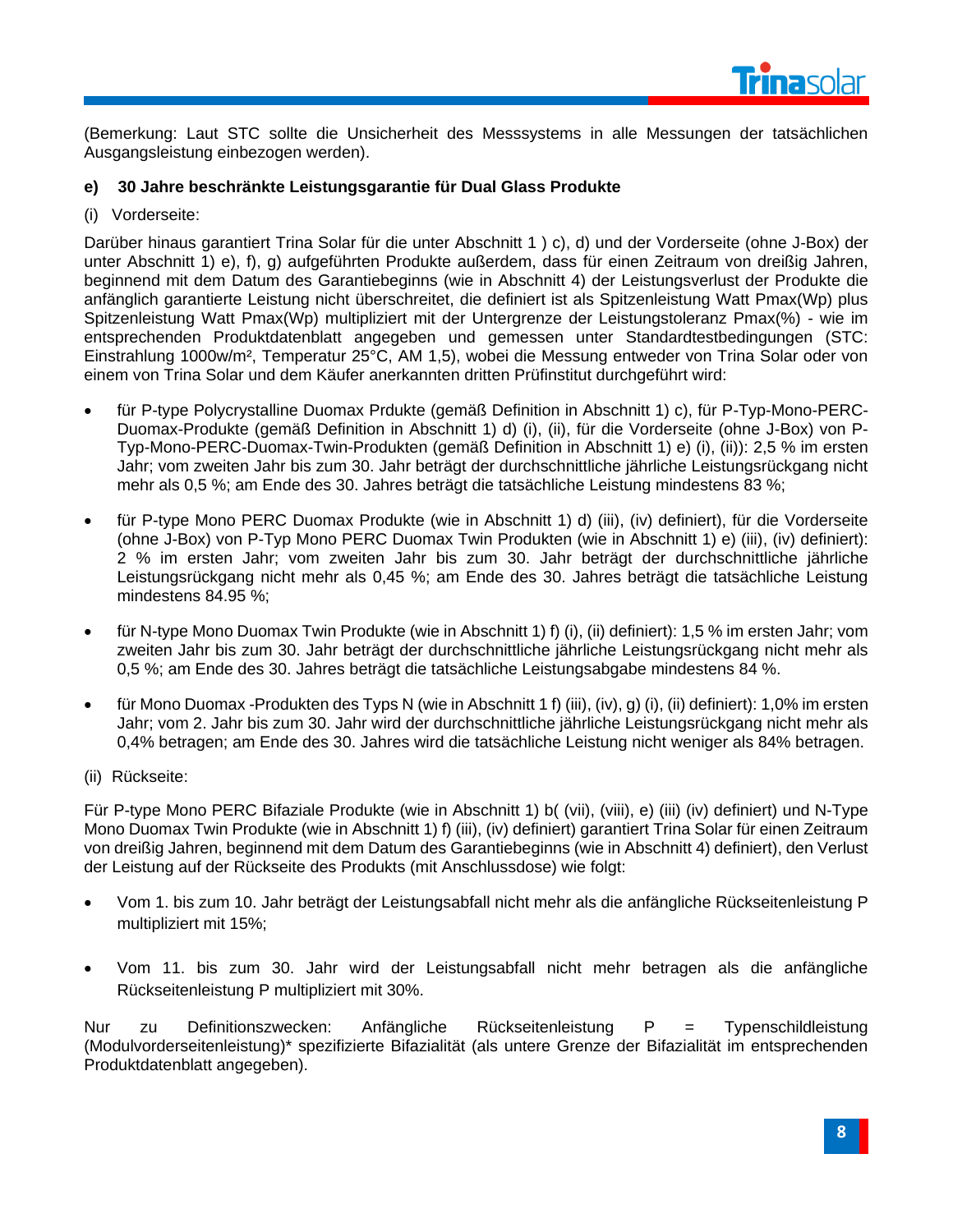

(Bemerkung: Laut STC sollte die Unsicherheit des Messsystems in alle Messungen der tatsächlichen Ausgangsleistung einbezogen werden).

#### **e) 30 Jahre beschränkte Leistungsgarantie für Dual Glass Produkte**

(i) Vorderseite:

Darüber hinaus garantiert Trina Solar für die unter Abschnitt 1 ) c), d) und der Vorderseite (ohne J-Box) der unter Abschnitt 1) e), f), g) aufgeführten Produkte außerdem, dass für einen Zeitraum von dreißig Jahren, beginnend mit dem Datum des Garantiebeginns (wie in Abschnitt 4) der Leistungsverlust der Produkte die anfänglich garantierte Leistung nicht überschreitet, die definiert ist als Spitzenleistung Watt Pmax(Wp) plus Spitzenleistung Watt Pmax(Wp) multipliziert mit der Untergrenze der Leistungstoleranz Pmax(%) - wie im entsprechenden Produktdatenblatt angegeben und gemessen unter Standardtestbedingungen (STC: Einstrahlung 1000w/m², Temperatur 25°C, AM 1,5), wobei die Messung entweder von Trina Solar oder von einem von Trina Solar und dem Käufer anerkannten dritten Prüfinstitut durchgeführt wird:

- für P-type Polycrystalline Duomax Prdukte (gemäß Definition in Abschnitt 1) c), für P-Typ-Mono-PERC-Duomax-Produkte (gemäß Definition in Abschnitt 1) d) (i), (ii), für die Vorderseite (ohne J-Box) von P-Typ-Mono-PERC-Duomax-Twin-Produkten (gemäß Definition in Abschnitt 1) e) (i), (ii)): 2,5 % im ersten Jahr; vom zweiten Jahr bis zum 30. Jahr beträgt der durchschnittliche jährliche Leistungsrückgang nicht mehr als 0,5 %; am Ende des 30. Jahres beträgt die tatsächliche Leistung mindestens 83 %;
- für P-type Mono PERC Duomax Produkte (wie in Abschnitt 1) d) (iii), (iv) definiert), für die Vorderseite (ohne J-Box) von P-Typ Mono PERC Duomax Twin Produkten (wie in Abschnitt 1) e) (iii), (iv) definiert): 2 % im ersten Jahr; vom zweiten Jahr bis zum 30. Jahr beträgt der durchschnittliche jährliche Leistungsrückgang nicht mehr als 0,45 %; am Ende des 30. Jahres beträgt die tatsächliche Leistung mindestens 84.95 %;
- für N-type Mono Duomax Twin Produkte (wie in Abschnitt 1) f) (i), (ii) definiert): 1,5 % im ersten Jahr; vom zweiten Jahr bis zum 30. Jahr beträgt der durchschnittliche jährliche Leistungsrückgang nicht mehr als 0,5 %; am Ende des 30. Jahres beträgt die tatsächliche Leistungsabgabe mindestens 84 %.
- für Mono Duomax -Produkten des Typs N (wie in Abschnitt 1 f) (iii), (iv), g) (i), (ii) definiert): 1,0% im ersten Jahr; vom 2. Jahr bis zum 30. Jahr wird der durchschnittliche jährliche Leistungsrückgang nicht mehr als 0,4% betragen; am Ende des 30. Jahres wird die tatsächliche Leistung nicht weniger als 84% betragen.
- (ii) Rückseite:

Für P-type Mono PERC Bifaziale Produkte (wie in Abschnitt 1) b( (vii), (viii), e) (iii) (iv) definiert) und N-Type Mono Duomax Twin Produkte (wie in Abschnitt 1) f) (iii), (iv) definiert) garantiert Trina Solar für einen Zeitraum von dreißig Jahren, beginnend mit dem Datum des Garantiebeginns (wie in Abschnitt 4) definiert), den Verlust der Leistung auf der Rückseite des Produkts (mit Anschlussdose) wie folgt:

- Vom 1. bis zum 10. Jahr beträgt der Leistungsabfall nicht mehr als die anfängliche Rückseitenleistung P multipliziert mit 15%;
- Vom 11. bis zum 30. Jahr wird der Leistungsabfall nicht mehr betragen als die anfängliche Rückseitenleistung P multipliziert mit 30%.

Nur zu Definitionszwecken: Anfängliche Rückseitenleistung P = Typenschildleistung (Modulvorderseitenleistung)\* spezifizierte Bifazialität (als untere Grenze der Bifazialität im entsprechenden Produktdatenblatt angegeben).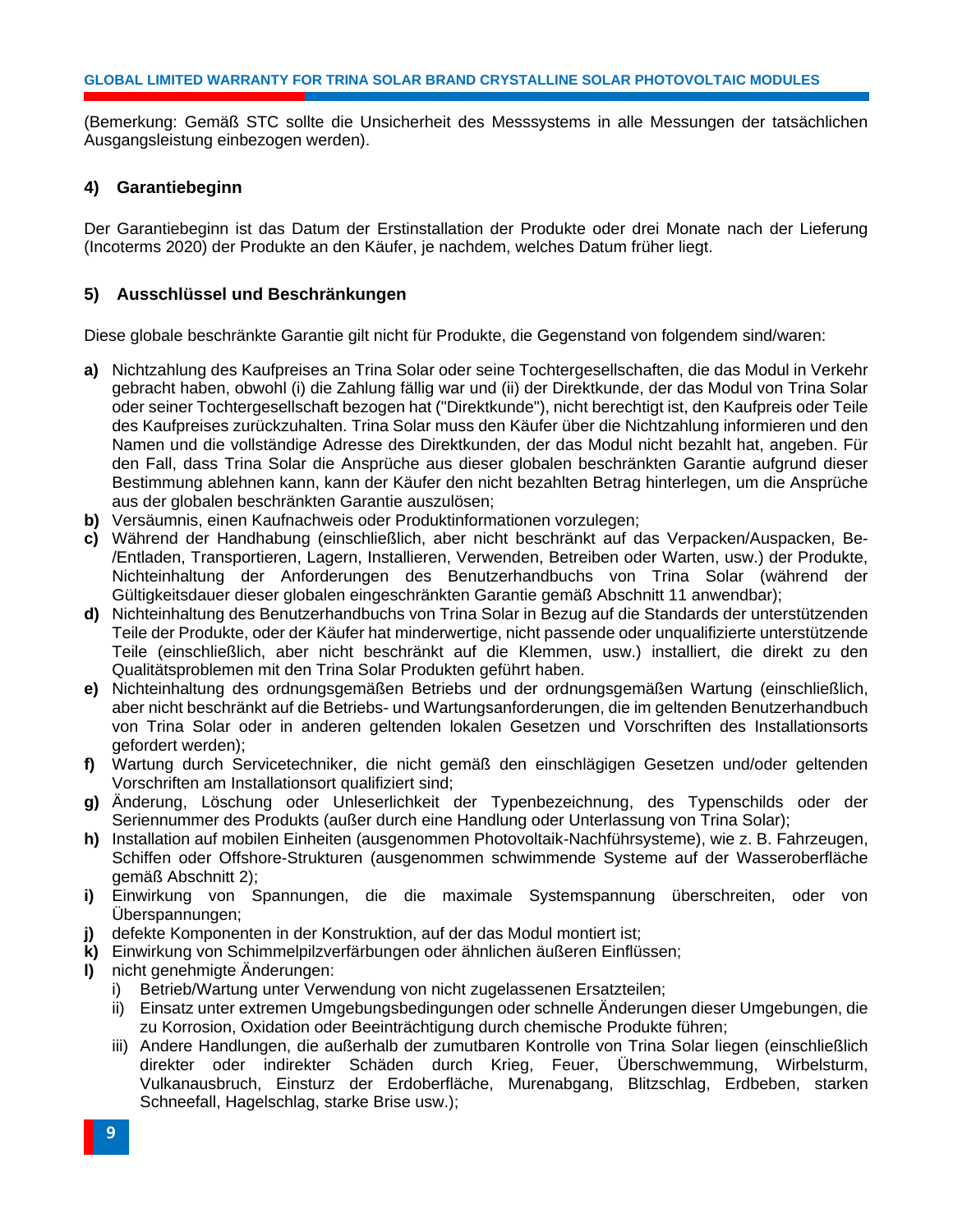(Bemerkung: Gemäß STC sollte die Unsicherheit des Messsystems in alle Messungen der tatsächlichen Ausgangsleistung einbezogen werden).

#### <span id="page-11-0"></span>**4) Garantiebeginn**

Der Garantiebeginn ist das Datum der Erstinstallation der Produkte oder drei Monate nach der Lieferung (Incoterms 2020) der Produkte an den Käufer, je nachdem, welches Datum früher liegt.

#### <span id="page-11-1"></span>**5) Ausschlüssel und Beschränkungen**

Diese globale beschränkte Garantie gilt nicht für Produkte, die Gegenstand von folgendem sind/waren:

- **a)** Nichtzahlung des Kaufpreises an Trina Solar oder seine Tochtergesellschaften, die das Modul in Verkehr gebracht haben, obwohl (i) die Zahlung fällig war und (ii) der Direktkunde, der das Modul von Trina Solar oder seiner Tochtergesellschaft bezogen hat ("Direktkunde"), nicht berechtigt ist, den Kaufpreis oder Teile des Kaufpreises zurückzuhalten. Trina Solar muss den Käufer über die Nichtzahlung informieren und den Namen und die vollständige Adresse des Direktkunden, der das Modul nicht bezahlt hat, angeben. Für den Fall, dass Trina Solar die Ansprüche aus dieser globalen beschränkten Garantie aufgrund dieser Bestimmung ablehnen kann, kann der Käufer den nicht bezahlten Betrag hinterlegen, um die Ansprüche aus der globalen beschränkten Garantie auszulösen;
- **b)** Versäumnis, einen Kaufnachweis oder Produktinformationen vorzulegen;
- **c)** Während der Handhabung (einschließlich, aber nicht beschränkt auf das Verpacken/Auspacken, Be- /Entladen, Transportieren, Lagern, Installieren, Verwenden, Betreiben oder Warten, usw.) der Produkte, Nichteinhaltung der Anforderungen des Benutzerhandbuchs von Trina Solar (während der Gültigkeitsdauer dieser globalen eingeschränkten Garantie gemäß Abschnitt 11 anwendbar);
- **d)** Nichteinhaltung des Benutzerhandbuchs von Trina Solar in Bezug auf die Standards der unterstützenden Teile der Produkte, oder der Käufer hat minderwertige, nicht passende oder unqualifizierte unterstützende Teile (einschließlich, aber nicht beschränkt auf die Klemmen, usw.) installiert, die direkt zu den Qualitätsproblemen mit den Trina Solar Produkten geführt haben.
- **e)** Nichteinhaltung des ordnungsgemäßen Betriebs und der ordnungsgemäßen Wartung (einschließlich, aber nicht beschränkt auf die Betriebs- und Wartungsanforderungen, die im geltenden Benutzerhandbuch von Trina Solar oder in anderen geltenden lokalen Gesetzen und Vorschriften des Installationsorts gefordert werden);
- **f)** Wartung durch Servicetechniker, die nicht gemäß den einschlägigen Gesetzen und/oder geltenden Vorschriften am Installationsort qualifiziert sind;
- **g)** Änderung, Löschung oder Unleserlichkeit der Typenbezeichnung, des Typenschilds oder der Seriennummer des Produkts (außer durch eine Handlung oder Unterlassung von Trina Solar);
- **h)** Installation auf mobilen Einheiten (ausgenommen Photovoltaik-Nachführsysteme), wie z. B. Fahrzeugen, Schiffen oder Offshore-Strukturen (ausgenommen schwimmende Systeme auf der Wasseroberfläche gemäß Abschnitt 2);
- **i)** Einwirkung von Spannungen, die die maximale Systemspannung überschreiten, oder von Überspannungen;
- **j)** defekte Komponenten in der Konstruktion, auf der das Modul montiert ist;
- **k)** Einwirkung von Schimmelpilzverfärbungen oder ähnlichen äußeren Einflüssen;
- **l)** nicht genehmigte Änderungen:
	- i) Betrieb/Wartung unter Verwendung von nicht zugelassenen Ersatzteilen;
	- ii) Einsatz unter extremen Umgebungsbedingungen oder schnelle Änderungen dieser Umgebungen, die zu Korrosion, Oxidation oder Beeinträchtigung durch chemische Produkte führen;
	- iii) Andere Handlungen, die außerhalb der zumutbaren Kontrolle von Trina Solar liegen (einschließlich direkter oder indirekter Schäden durch Krieg, Feuer, Überschwemmung, Wirbelsturm, Vulkanausbruch, Einsturz der Erdoberfläche, Murenabgang, Blitzschlag, Erdbeben, starken Schneefall, Hagelschlag, starke Brise usw.);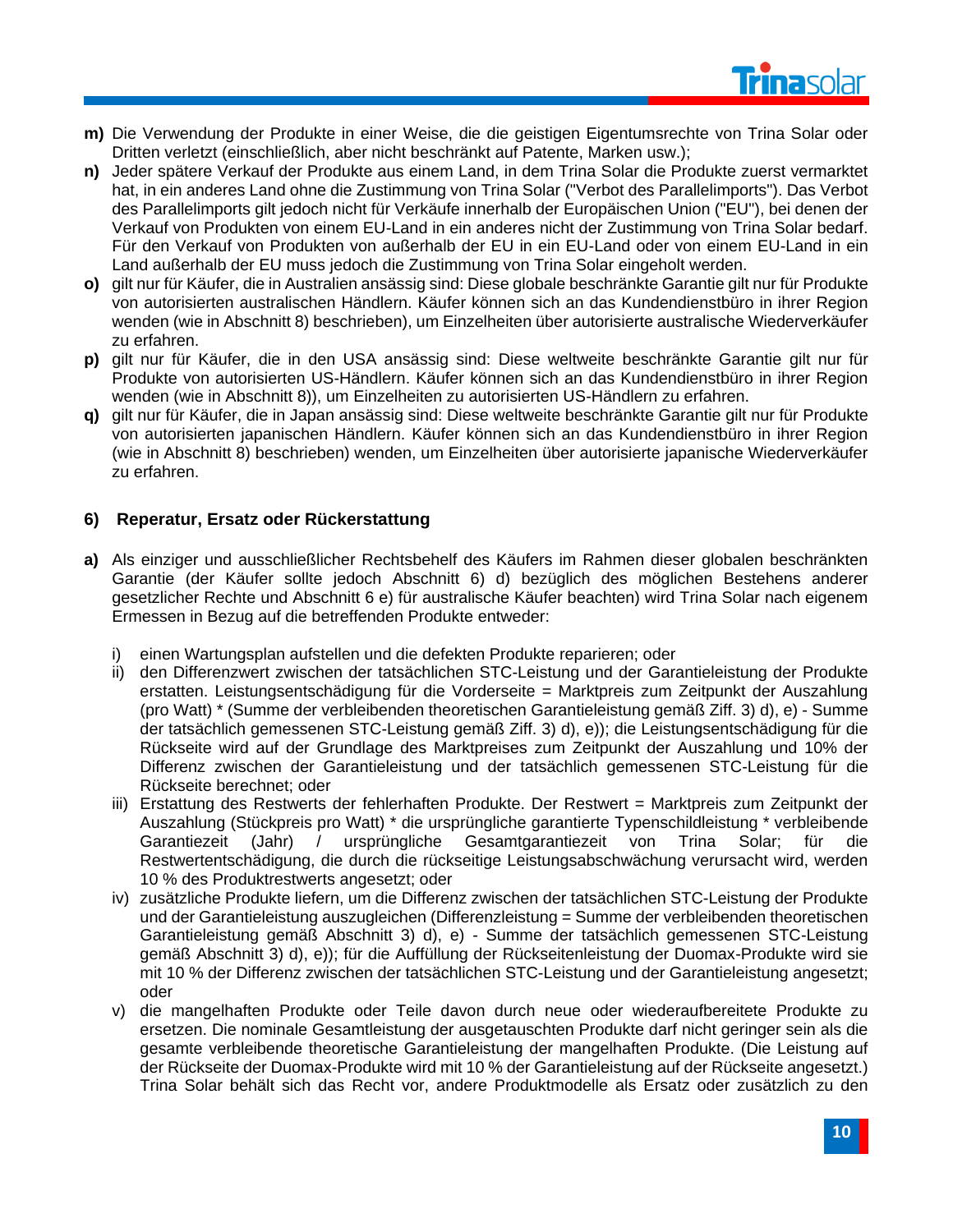

- **m)** Die Verwendung der Produkte in einer Weise, die die geistigen Eigentumsrechte von Trina Solar oder Dritten verletzt (einschließlich, aber nicht beschränkt auf Patente, Marken usw.);
- **n)** Jeder spätere Verkauf der Produkte aus einem Land, in dem Trina Solar die Produkte zuerst vermarktet hat, in ein anderes Land ohne die Zustimmung von Trina Solar ("Verbot des Parallelimports"). Das Verbot des Parallelimports gilt jedoch nicht für Verkäufe innerhalb der Europäischen Union ("EU"), bei denen der Verkauf von Produkten von einem EU-Land in ein anderes nicht der Zustimmung von Trina Solar bedarf. Für den Verkauf von Produkten von außerhalb der EU in ein EU-Land oder von einem EU-Land in ein Land außerhalb der EU muss jedoch die Zustimmung von Trina Solar eingeholt werden.
- **o)** gilt nur für Käufer, die in Australien ansässig sind: Diese globale beschränkte Garantie gilt nur für Produkte von autorisierten australischen Händlern. Käufer können sich an das Kundendienstbüro in ihrer Region wenden (wie in Abschnitt 8) beschrieben), um Einzelheiten über autorisierte australische Wiederverkäufer zu erfahren.
- **p)** gilt nur für Käufer, die in den USA ansässig sind: Diese weltweite beschränkte Garantie gilt nur für Produkte von autorisierten US-Händlern. Käufer können sich an das Kundendienstbüro in ihrer Region wenden (wie in Abschnitt 8)), um Einzelheiten zu autorisierten US-Händlern zu erfahren.
- **q)** gilt nur für Käufer, die in Japan ansässig sind: Diese weltweite beschränkte Garantie gilt nur für Produkte von autorisierten japanischen Händlern. Käufer können sich an das Kundendienstbüro in ihrer Region (wie in Abschnitt 8) beschrieben) wenden, um Einzelheiten über autorisierte japanische Wiederverkäufer zu erfahren.

#### <span id="page-12-0"></span>**6) Reperatur, Ersatz oder Rückerstattung**

- **a)** Als einziger und ausschließlicher Rechtsbehelf des Käufers im Rahmen dieser globalen beschränkten Garantie (der Käufer sollte jedoch Abschnitt 6) d) bezüglich des möglichen Bestehens anderer gesetzlicher Rechte und Abschnitt 6 e) für australische Käufer beachten) wird Trina Solar nach eigenem Ermessen in Bezug auf die betreffenden Produkte entweder:
	- i) einen Wartungsplan aufstellen und die defekten Produkte reparieren; oder
	- ii) den Differenzwert zwischen der tatsächlichen STC-Leistung und der Garantieleistung der Produkte erstatten. Leistungsentschädigung für die Vorderseite = Marktpreis zum Zeitpunkt der Auszahlung (pro Watt) \* (Summe der verbleibenden theoretischen Garantieleistung gemäß Ziff. 3) d), e) - Summe der tatsächlich gemessenen STC-Leistung gemäß Ziff. 3) d), e)); die Leistungsentschädigung für die Rückseite wird auf der Grundlage des Marktpreises zum Zeitpunkt der Auszahlung und 10% der Differenz zwischen der Garantieleistung und der tatsächlich gemessenen STC-Leistung für die Rückseite berechnet; oder
	- iii) Erstattung des Restwerts der fehlerhaften Produkte. Der Restwert = Marktpreis zum Zeitpunkt der Auszahlung (Stückpreis pro Watt) \* die ursprüngliche garantierte Typenschildleistung \* verbleibende Garantiezeit (Jahr) / ursprüngliche Gesamtgarantiezeit von Trina Solar; für die Restwertentschädigung, die durch die rückseitige Leistungsabschwächung verursacht wird, werden 10 % des Produktrestwerts angesetzt; oder
	- iv) zusätzliche Produkte liefern, um die Differenz zwischen der tatsächlichen STC-Leistung der Produkte und der Garantieleistung auszugleichen (Differenzleistung = Summe der verbleibenden theoretischen Garantieleistung gemäß Abschnitt 3) d), e) - Summe der tatsächlich gemessenen STC-Leistung gemäß Abschnitt 3) d), e)); für die Auffüllung der Rückseitenleistung der Duomax-Produkte wird sie mit 10 % der Differenz zwischen der tatsächlichen STC-Leistung und der Garantieleistung angesetzt; oder
	- v) die mangelhaften Produkte oder Teile davon durch neue oder wiederaufbereitete Produkte zu ersetzen. Die nominale Gesamtleistung der ausgetauschten Produkte darf nicht geringer sein als die gesamte verbleibende theoretische Garantieleistung der mangelhaften Produkte. (Die Leistung auf der Rückseite der Duomax-Produkte wird mit 10 % der Garantieleistung auf der Rückseite angesetzt.) Trina Solar behält sich das Recht vor, andere Produktmodelle als Ersatz oder zusätzlich zu den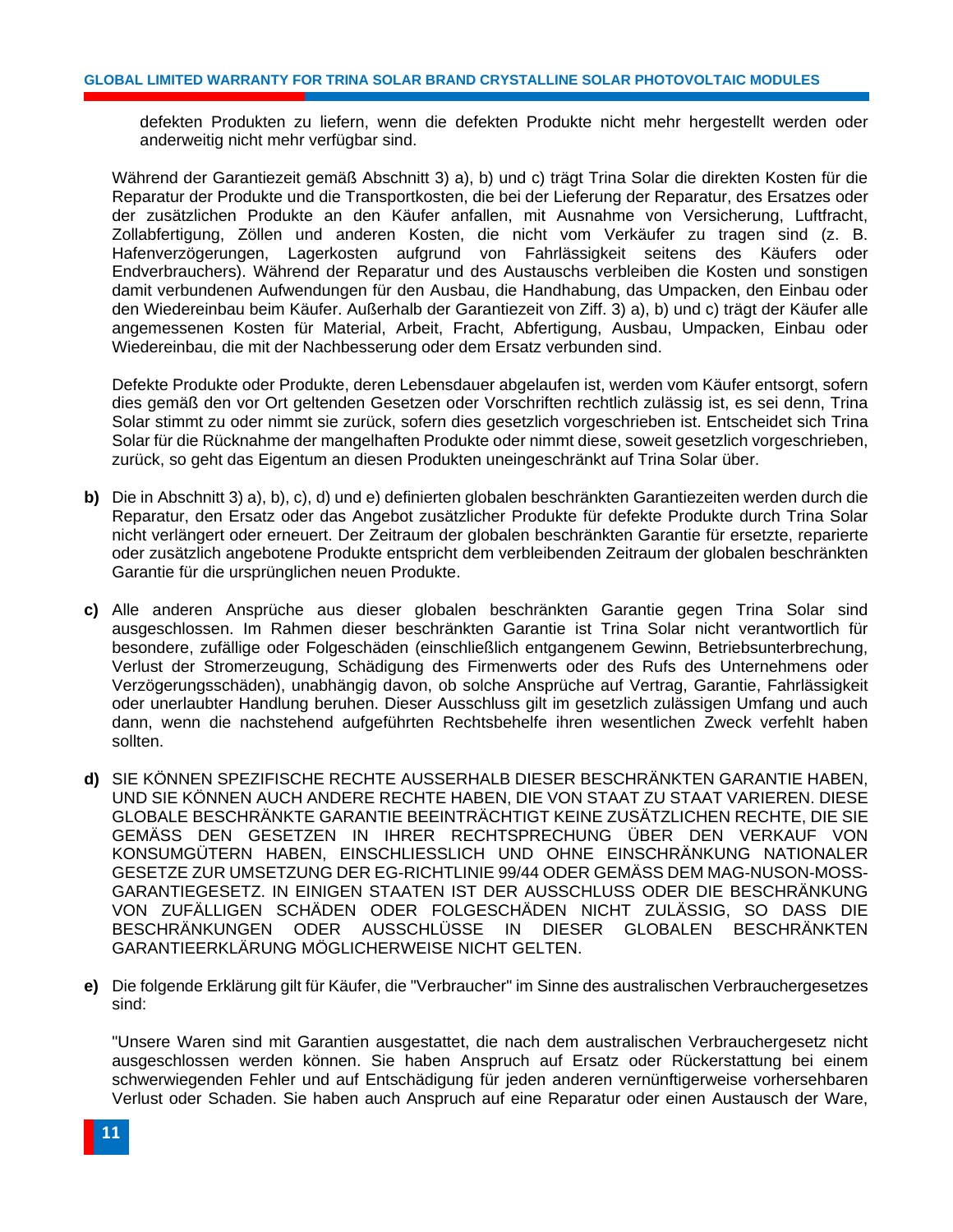defekten Produkten zu liefern, wenn die defekten Produkte nicht mehr hergestellt werden oder anderweitig nicht mehr verfügbar sind.

Während der Garantiezeit gemäß Abschnitt 3) a), b) und c) trägt Trina Solar die direkten Kosten für die Reparatur der Produkte und die Transportkosten, die bei der Lieferung der Reparatur, des Ersatzes oder der zusätzlichen Produkte an den Käufer anfallen, mit Ausnahme von Versicherung, Luftfracht, Zollabfertigung, Zöllen und anderen Kosten, die nicht vom Verkäufer zu tragen sind (z. B. Hafenverzögerungen, Lagerkosten aufgrund von Fahrlässigkeit seitens des Käufers oder Endverbrauchers). Während der Reparatur und des Austauschs verbleiben die Kosten und sonstigen damit verbundenen Aufwendungen für den Ausbau, die Handhabung, das Umpacken, den Einbau oder den Wiedereinbau beim Käufer. Außerhalb der Garantiezeit von Ziff. 3) a), b) und c) trägt der Käufer alle angemessenen Kosten für Material, Arbeit, Fracht, Abfertigung, Ausbau, Umpacken, Einbau oder Wiedereinbau, die mit der Nachbesserung oder dem Ersatz verbunden sind.

Defekte Produkte oder Produkte, deren Lebensdauer abgelaufen ist, werden vom Käufer entsorgt, sofern dies gemäß den vor Ort geltenden Gesetzen oder Vorschriften rechtlich zulässig ist, es sei denn, Trina Solar stimmt zu oder nimmt sie zurück, sofern dies gesetzlich vorgeschrieben ist. Entscheidet sich Trina Solar für die Rücknahme der mangelhaften Produkte oder nimmt diese, soweit gesetzlich vorgeschrieben, zurück, so geht das Eigentum an diesen Produkten uneingeschränkt auf Trina Solar über.

- **b)** Die in Abschnitt 3) a), b), c), d) und e) definierten globalen beschränkten Garantiezeiten werden durch die Reparatur, den Ersatz oder das Angebot zusätzlicher Produkte für defekte Produkte durch Trina Solar nicht verlängert oder erneuert. Der Zeitraum der globalen beschränkten Garantie für ersetzte, reparierte oder zusätzlich angebotene Produkte entspricht dem verbleibenden Zeitraum der globalen beschränkten Garantie für die ursprünglichen neuen Produkte.
- **c)** Alle anderen Ansprüche aus dieser globalen beschränkten Garantie gegen Trina Solar sind ausgeschlossen. Im Rahmen dieser beschränkten Garantie ist Trina Solar nicht verantwortlich für besondere, zufällige oder Folgeschäden (einschließlich entgangenem Gewinn, Betriebsunterbrechung, Verlust der Stromerzeugung, Schädigung des Firmenwerts oder des Rufs des Unternehmens oder Verzögerungsschäden), unabhängig davon, ob solche Ansprüche auf Vertrag, Garantie, Fahrlässigkeit oder unerlaubter Handlung beruhen. Dieser Ausschluss gilt im gesetzlich zulässigen Umfang und auch dann, wenn die nachstehend aufgeführten Rechtsbehelfe ihren wesentlichen Zweck verfehlt haben sollten.
- **d)** SIE KÖNNEN SPEZIFISCHE RECHTE AUSSERHALB DIESER BESCHRÄNKTEN GARANTIE HABEN, UND SIE KÖNNEN AUCH ANDERE RECHTE HABEN, DIE VON STAAT ZU STAAT VARIEREN. DIESE GLOBALE BESCHRÄNKTE GARANTIE BEEINTRÄCHTIGT KEINE ZUSÄTZLICHEN RECHTE, DIE SIE GEMÄSS DEN GESETZEN IN IHRER RECHTSPRECHUNG ÜBER DEN VERKAUF VON KONSUMGÜTERN HABEN, EINSCHLIESSLICH UND OHNE EINSCHRÄNKUNG NATIONALER GESETZE ZUR UMSETZUNG DER EG-RICHTLINIE 99/44 ODER GEMÄSS DEM MAG-NUSON-MOSS-GARANTIEGESETZ. IN EINIGEN STAATEN IST DER AUSSCHLUSS ODER DIE BESCHRÄNKUNG VON ZUFÄLLIGEN SCHÄDEN ODER FOLGESCHÄDEN NICHT ZULÄSSIG, SO DASS DIE BESCHRÄNKUNGEN ODER AUSSCHLÜSSE IN DIESER GLOBALEN BESCHRÄNKTEN GARANTIEERKLÄRUNG MÖGLICHERWEISE NICHT GELTEN.
- **e)** Die folgende Erklärung gilt für Käufer, die "Verbraucher" im Sinne des australischen Verbrauchergesetzes sind:

"Unsere Waren sind mit Garantien ausgestattet, die nach dem australischen Verbrauchergesetz nicht ausgeschlossen werden können. Sie haben Anspruch auf Ersatz oder Rückerstattung bei einem schwerwiegenden Fehler und auf Entschädigung für jeden anderen vernünftigerweise vorhersehbaren Verlust oder Schaden. Sie haben auch Anspruch auf eine Reparatur oder einen Austausch der Ware,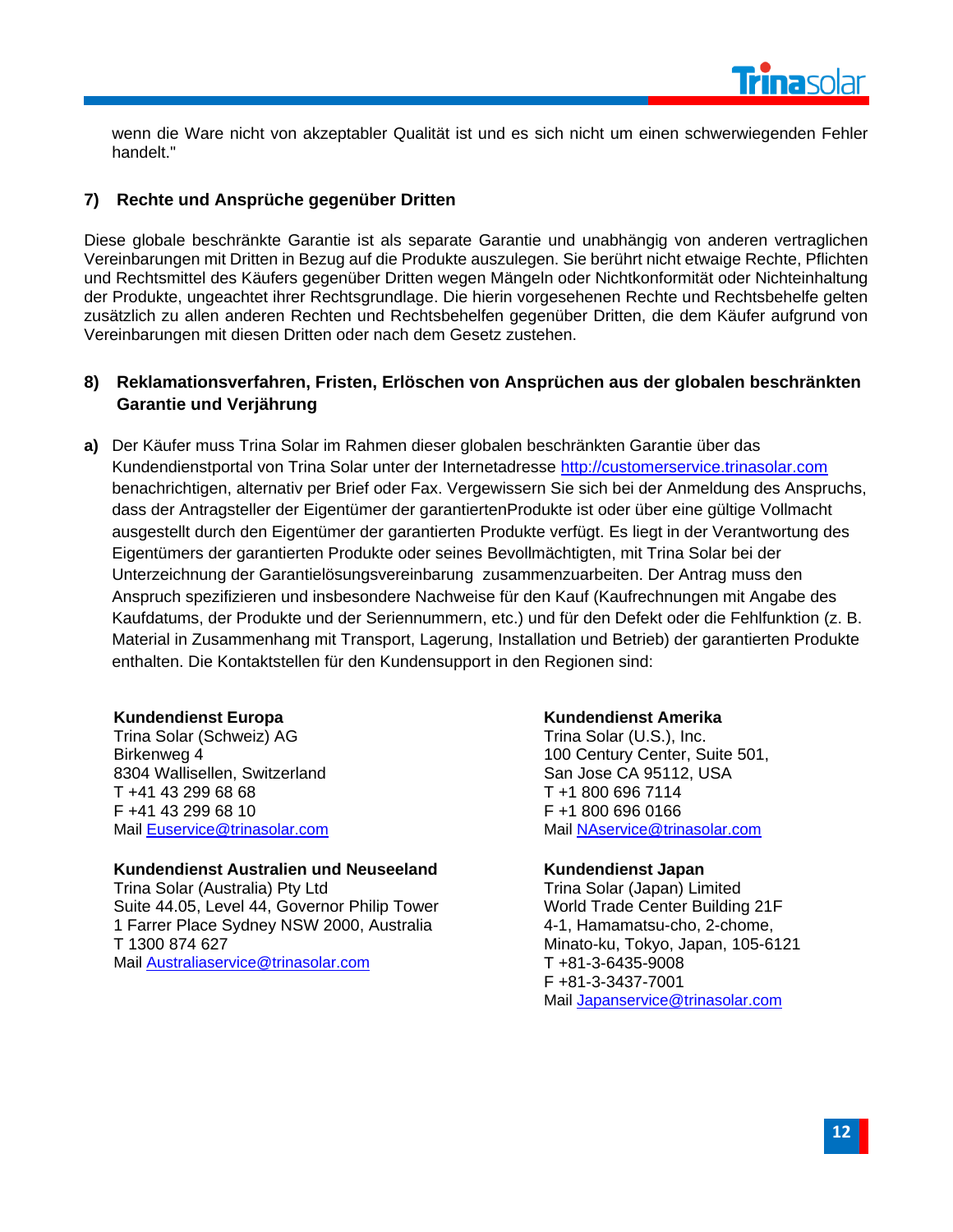

wenn die Ware nicht von akzeptabler Qualität ist und es sich nicht um einen schwerwiegenden Fehler handelt."

#### <span id="page-14-0"></span>**7) Rechte und Ansprüche gegenüber Dritten**

Diese globale beschränkte Garantie ist als separate Garantie und unabhängig von anderen vertraglichen Vereinbarungen mit Dritten in Bezug auf die Produkte auszulegen. Sie berührt nicht etwaige Rechte, Pflichten und Rechtsmittel des Käufers gegenüber Dritten wegen Mängeln oder Nichtkonformität oder Nichteinhaltung der Produkte, ungeachtet ihrer Rechtsgrundlage. Die hierin vorgesehenen Rechte und Rechtsbehelfe gelten zusätzlich zu allen anderen Rechten und Rechtsbehelfen gegenüber Dritten, die dem Käufer aufgrund von Vereinbarungen mit diesen Dritten oder nach dem Gesetz zustehen.

#### <span id="page-14-1"></span>**8) Reklamationsverfahren, Fristen, Erlöschen von Ansprüchen aus der globalen beschränkten Garantie und Verjährung**

**a)** Der Käufer muss Trina Solar im Rahmen dieser globalen beschränkten Garantie über das Kundendienstportal von Trina Solar unter der Internetadresse [http://customerservice.trinasolar.com](http://customerservice.trinasolar.com/) benachrichtigen, alternativ per Brief oder Fax. Vergewissern Sie sich bei der Anmeldung des Anspruchs, dass der Antragsteller der Eigentümer der garantiertenProdukte ist oder über eine gültige Vollmacht ausgestellt durch den Eigentümer der garantierten Produkte verfügt. Es liegt in der Verantwortung des Eigentümers der garantierten Produkte oder seines Bevollmächtigten, mit Trina Solar bei der Unterzeichnung der Garantielösungsvereinbarung zusammenzuarbeiten. Der Antrag muss den Anspruch spezifizieren und insbesondere Nachweise für den Kauf (Kaufrechnungen mit Angabe des Kaufdatums, der Produkte und der Seriennummern, etc.) und für den Defekt oder die Fehlfunktion (z. B. Material in Zusammenhang mit Transport, Lagerung, Installation und Betrieb) der garantierten Produkte enthalten. Die Kontaktstellen für den Kundensupport in den Regionen sind:

#### **Kundendienst Europa**

Trina Solar (Schweiz) AG Birkenweg 4 8304 Wallisellen, Switzerland T +41 43 299 68 68 F +41 43 299 68 10 Mail [Euservice@trinasolar.com](mailto:Euservice@trinasolar.com)

**Kundendienst Australien und Neuseeland** Trina Solar (Australia) Pty Ltd Suite 44.05, Level 44, Governor Philip Tower 1 Farrer Place Sydney NSW 2000, Australia T 1300 874 627 Mail [Australiaservice@trinasolar.com](mailto:Australiaservice@trinasolar.com)

#### **Kundendienst Amerika**

Trina Solar (U.S.), Inc. 100 Century Center, Suite 501, San Jose CA 95112, USA T +1 800 696 7114 F +1 800 696 0166 Mail [NAservice@trinasolar.com](mailto:NAservice@trinasolar.com)

#### **Kundendienst Japan**

Trina Solar (Japan) Limited World Trade Center Building 21F 4-1, Hamamatsu-cho, 2-chome, Minato-ku, Tokyo, Japan, 105-6121 T +81-3-6435-9008 F +81-3-3437-7001 Mail [Japanservice@trinasolar.com](mailto:Japanservice@trinasolar.com)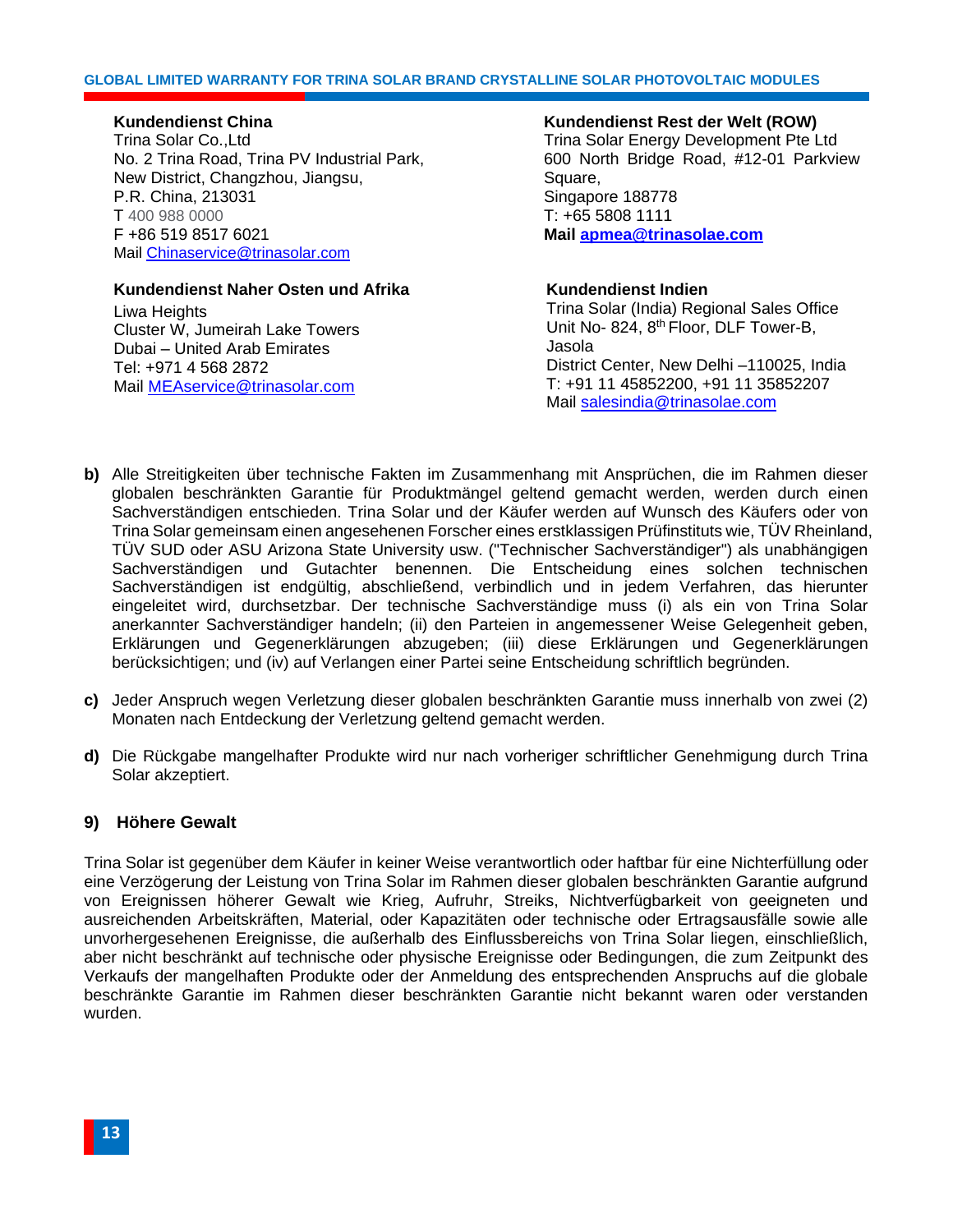#### **GLOBAL LIMITED WARRANTY FOR TRINA SOLAR BRAND CRYSTALLINE SOLAR PHOTOVOLTAIC MODULES**

#### **Kundendienst China**

Trina Solar Co.,Ltd No. 2 Trina Road, Trina PV Industrial Park, New District, Changzhou, Jiangsu, P.R. China, 213031 T 400 988 0000 F +86 519 8517 6021 Mail [Chinaservice@trinasolar.com](mailto:Chinaservice@trinasolar.com)

#### **Kundendienst Naher Osten und Afrika**

Liwa Heights Cluster W, Jumeirah Lake Towers Dubai – United Arab Emirates Tel: +971 4 568 2872 Mail [MEAservice@trinasolar.com](mailto:MEAservice@trinasolar.com)

**Kundendienst Rest der Welt (ROW)** Trina Solar Energy Development Pte Ltd 600 North Bridge Road, #12-01 Parkview Square, Singapore 188778 T: +65 5808 1111 **Mail [apmea@trinasolae.com](mailto:apmea@trinasolae.com)**

#### **Kundendienst Indien**

Trina Solar (India) Regional Sales Office Unit No- 824, 8<sup>th</sup> Floor, DLF Tower-B, Jasola District Center, New Delhi –110025, India T: +91 11 45852200, +91 11 35852207 Mail [salesindia@trinasolae.com](mailto:salesindia@trinasolae.com)

- **b)** Alle Streitigkeiten über technische Fakten im Zusammenhang mit Ansprüchen, die im Rahmen dieser globalen beschränkten Garantie für Produktmängel geltend gemacht werden, werden durch einen Sachverständigen entschieden. Trina Solar und der Käufer werden auf Wunsch des Käufers oder von Trina Solar gemeinsam einen angesehenen Forscher eines erstklassigen Prüfinstituts wie, TÜV Rheinland, TÜV SUD oder ASU Arizona State University usw. ("Technischer Sachverständiger") als unabhängigen Sachverständigen und Gutachter benennen. Die Entscheidung eines solchen technischen Sachverständigen ist endgültig, abschließend, verbindlich und in jedem Verfahren, das hierunter eingeleitet wird, durchsetzbar. Der technische Sachverständige muss (i) als ein von Trina Solar anerkannter Sachverständiger handeln; (ii) den Parteien in angemessener Weise Gelegenheit geben, Erklärungen und Gegenerklärungen abzugeben; (iii) diese Erklärungen und Gegenerklärungen berücksichtigen; und (iv) auf Verlangen einer Partei seine Entscheidung schriftlich begründen.
- **c)** Jeder Anspruch wegen Verletzung dieser globalen beschränkten Garantie muss innerhalb von zwei (2) Monaten nach Entdeckung der Verletzung geltend gemacht werden.
- **d)** Die Rückgabe mangelhafter Produkte wird nur nach vorheriger schriftlicher Genehmigung durch Trina Solar akzeptiert.

#### <span id="page-15-0"></span>**9) Höhere Gewalt**

Trina Solar ist gegenüber dem Käufer in keiner Weise verantwortlich oder haftbar für eine Nichterfüllung oder eine Verzögerung der Leistung von Trina Solar im Rahmen dieser globalen beschränkten Garantie aufgrund von Ereignissen höherer Gewalt wie Krieg, Aufruhr, Streiks, Nichtverfügbarkeit von geeigneten und ausreichenden Arbeitskräften, Material, oder Kapazitäten oder technische oder Ertragsausfälle sowie alle unvorhergesehenen Ereignisse, die außerhalb des Einflussbereichs von Trina Solar liegen, einschließlich, aber nicht beschränkt auf technische oder physische Ereignisse oder Bedingungen, die zum Zeitpunkt des Verkaufs der mangelhaften Produkte oder der Anmeldung des entsprechenden Anspruchs auf die globale beschränkte Garantie im Rahmen dieser beschränkten Garantie nicht bekannt waren oder verstanden wurden.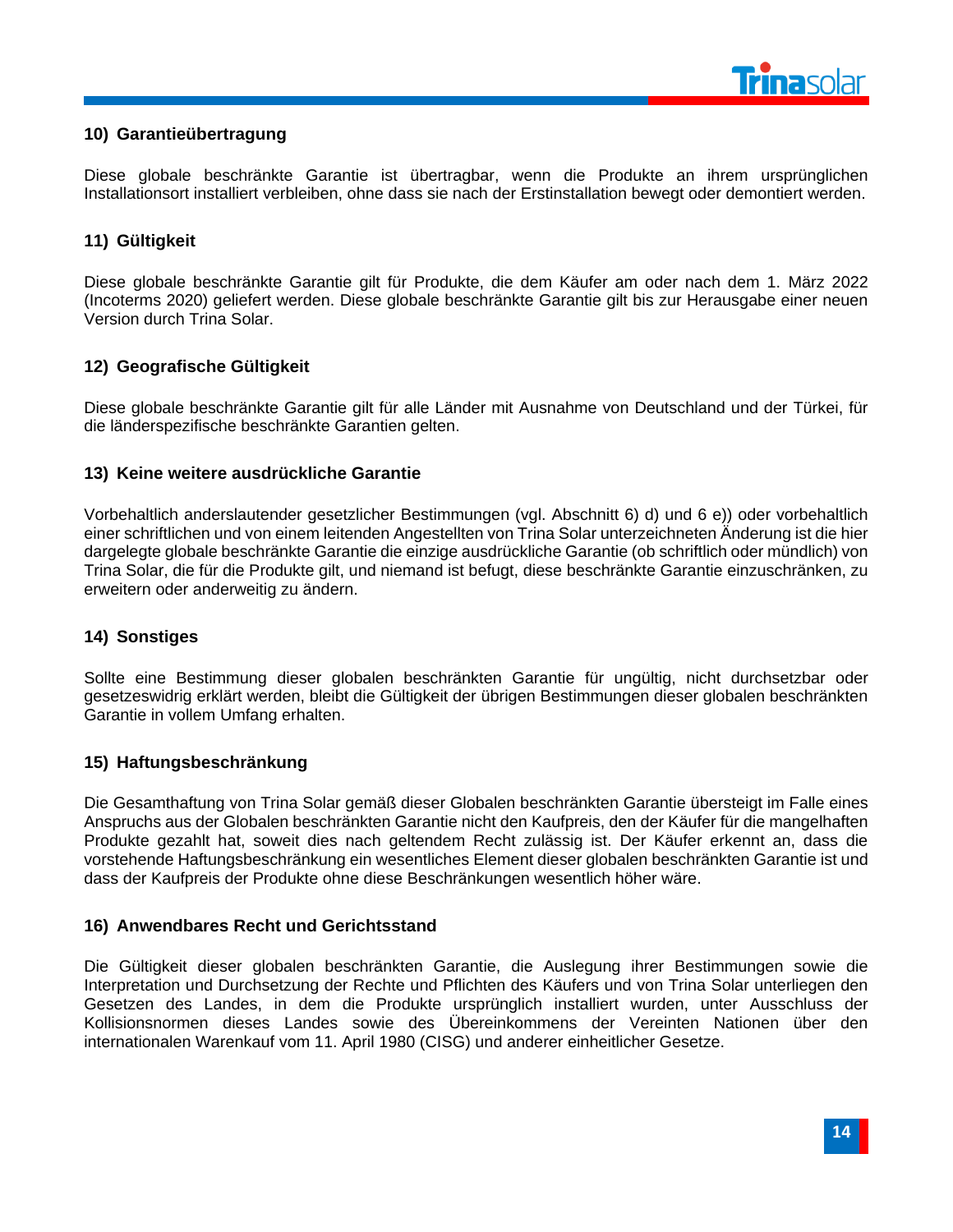

#### <span id="page-16-0"></span>**10) Garantieübertragung**

Diese globale beschränkte Garantie ist übertragbar, wenn die Produkte an ihrem ursprünglichen Installationsort installiert verbleiben, ohne dass sie nach der Erstinstallation bewegt oder demontiert werden.

#### <span id="page-16-1"></span>**11) Gültigkeit**

Diese globale beschränkte Garantie gilt für Produkte, die dem Käufer am oder nach dem 1. März 2022 (Incoterms 2020) geliefert werden. Diese globale beschränkte Garantie gilt bis zur Herausgabe einer neuen Version durch Trina Solar.

#### <span id="page-16-2"></span>**12) Geografische Gültigkeit**

Diese globale beschränkte Garantie gilt für alle Länder mit Ausnahme von Deutschland und der Türkei, für die länderspezifische beschränkte Garantien gelten.

#### <span id="page-16-3"></span>**13) Keine weitere ausdrückliche Garantie**

Vorbehaltlich anderslautender gesetzlicher Bestimmungen (vgl. Abschnitt 6) d) und 6 e)) oder vorbehaltlich einer schriftlichen und von einem leitenden Angestellten von Trina Solar unterzeichneten Änderung ist die hier dargelegte globale beschränkte Garantie die einzige ausdrückliche Garantie (ob schriftlich oder mündlich) von Trina Solar, die für die Produkte gilt, und niemand ist befugt, diese beschränkte Garantie einzuschränken, zu erweitern oder anderweitig zu ändern.

#### <span id="page-16-4"></span>**14) Sonstiges**

Sollte eine Bestimmung dieser globalen beschränkten Garantie für ungültig, nicht durchsetzbar oder gesetzeswidrig erklärt werden, bleibt die Gültigkeit der übrigen Bestimmungen dieser globalen beschränkten Garantie in vollem Umfang erhalten.

#### <span id="page-16-5"></span>**15) Haftungsbeschränkung**

Die Gesamthaftung von Trina Solar gemäß dieser Globalen beschränkten Garantie übersteigt im Falle eines Anspruchs aus der Globalen beschränkten Garantie nicht den Kaufpreis, den der Käufer für die mangelhaften Produkte gezahlt hat, soweit dies nach geltendem Recht zulässig ist. Der Käufer erkennt an, dass die vorstehende Haftungsbeschränkung ein wesentliches Element dieser globalen beschränkten Garantie ist und dass der Kaufpreis der Produkte ohne diese Beschränkungen wesentlich höher wäre.

#### <span id="page-16-6"></span>**16) Anwendbares Recht und Gerichtsstand**

Die Gültigkeit dieser globalen beschränkten Garantie, die Auslegung ihrer Bestimmungen sowie die Interpretation und Durchsetzung der Rechte und Pflichten des Käufers und von Trina Solar unterliegen den Gesetzen des Landes, in dem die Produkte ursprünglich installiert wurden, unter Ausschluss der Kollisionsnormen dieses Landes sowie des Übereinkommens der Vereinten Nationen über den internationalen Warenkauf vom 11. April 1980 (CISG) und anderer einheitlicher Gesetze.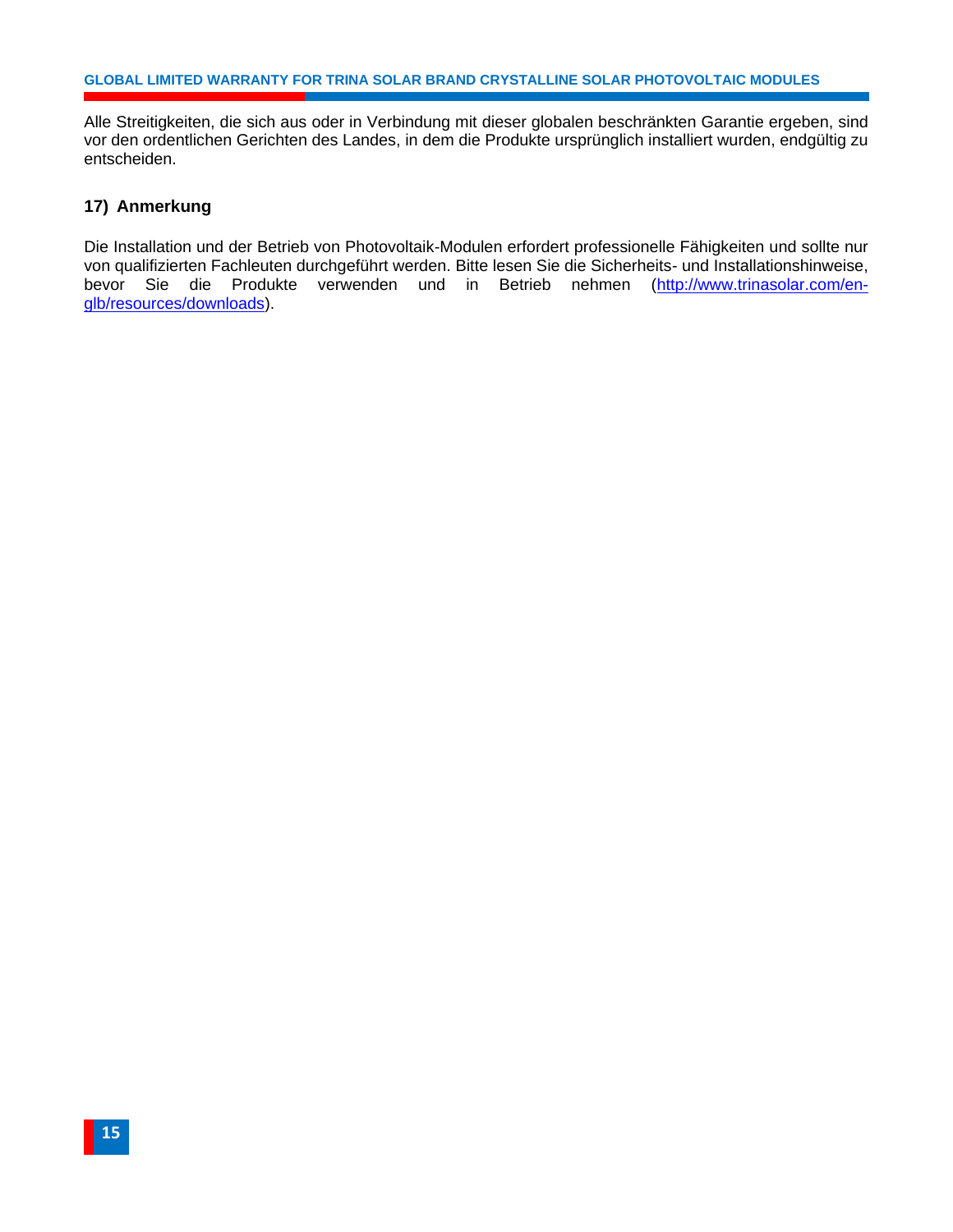Alle Streitigkeiten, die sich aus oder in Verbindung mit dieser globalen beschränkten Garantie ergeben, sind vor den ordentlichen Gerichten des Landes, in dem die Produkte ursprünglich installiert wurden, endgültig zu entscheiden.

#### <span id="page-17-0"></span>**17) Anmerkung**

Die Installation und der Betrieb von Photovoltaik-Modulen erfordert professionelle Fähigkeiten und sollte nur von qualifizierten Fachleuten durchgeführt werden. Bitte lesen Sie die Sicherheits- und Installationshinweise, bevor Sie die Produkte verwenden und in Betrieb nehmen [\(http://www.trinasolar.com/en](http://www.trinasolar.com/en-glb/resources/downloads)[glb/resources/downloads\)](http://www.trinasolar.com/en-glb/resources/downloads).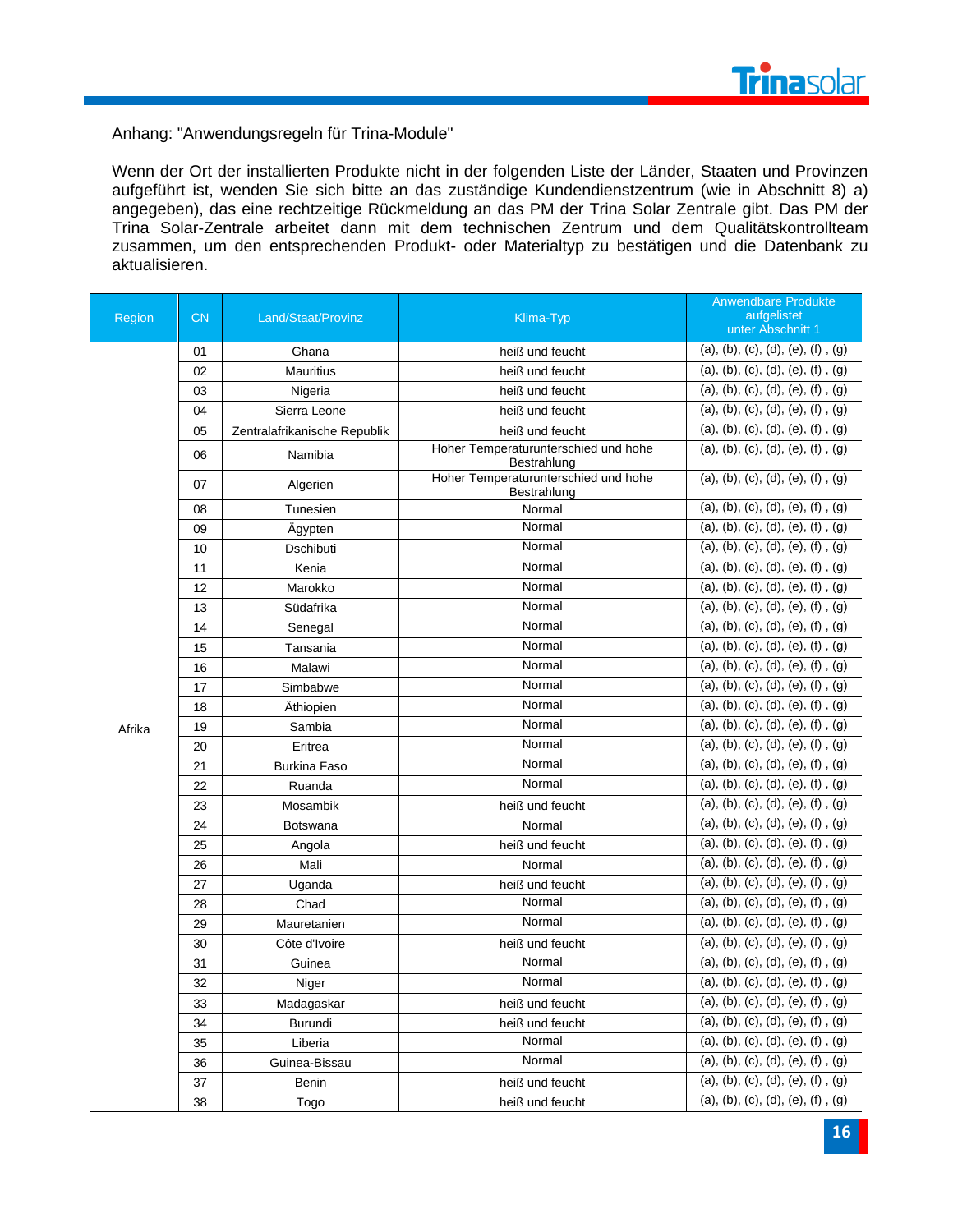

Anhang: "Anwendungsregeln für Trina-Module"

Wenn der Ort der installierten Produkte nicht in der folgenden Liste der Länder, Staaten und Provinzen aufgeführt ist, wenden Sie sich bitte an das zuständige Kundendienstzentrum (wie in Abschnitt 8) a) angegeben), das eine rechtzeitige Rückmeldung an das PM der Trina Solar Zentrale gibt. Das PM der Trina Solar-Zentrale arbeitet dann mit dem technischen Zentrum und dem Qualitätskontrollteam zusammen, um den entsprechenden Produkt- oder Materialtyp zu bestätigen und die Datenbank zu aktualisieren.

| Region | <b>CN</b> | Land/Staat/Provinz           | Klima-Typ                                           | <b>Anwendbare Produkte</b><br>aufgelistet<br>unter Abschnitt 1 |
|--------|-----------|------------------------------|-----------------------------------------------------|----------------------------------------------------------------|
|        | 01        | Ghana                        | heiß und feucht                                     | (a), (b), (c), (d), (e), (f), (g)                              |
|        | 02        | <b>Mauritius</b>             | heiß und feucht                                     | (a), (b), (c), (d), (e), (f), (g)                              |
|        | 03        | Nigeria                      | heiß und feucht                                     | (a), (b), (c), (d), (e), (f), (g)                              |
|        | 04        | Sierra Leone                 | heiß und feucht                                     | (a), (b), (c), (d), (e), (f), (g)                              |
|        | 05        | Zentralafrikanische Republik | heiß und feucht                                     | (a), (b), (c), (d), (e), (f), (g)                              |
|        | 06        | Namibia                      | Hoher Temperaturunterschied und hohe<br>Bestrahlung | (a), (b), (c), (d), (e), (f), (g)                              |
|        | 07        | Algerien                     | Hoher Temperaturunterschied und hohe<br>Bestrahlung | (a), (b), (c), (d), (e), (f), (g)                              |
|        | 08        | Tunesien                     | Normal                                              | (a), (b), (c), (d), (e), (f), (g)                              |
|        | 09        | Ägypten                      | Normal                                              | (a), (b), (c), (d), (e), (f), (g)                              |
|        | 10        | Dschibuti                    | Normal                                              | (a), (b), (c), (d), (e), (f), (g)                              |
|        | 11        | Kenia                        | Normal                                              | (a), (b), (c), (d), (e), (f), (g)                              |
|        | 12        | Marokko                      | Normal                                              | (a), (b), (c), (d), (e), (f), (g)                              |
|        | 13        | Südafrika                    | Normal                                              | (a), (b), (c), (d), (e), (f), (g)                              |
|        | 14        | Senegal                      | Normal                                              | (a), (b), (c), (d), (e), (f), (g)                              |
|        | 15        | Tansania                     | Normal                                              | (a), (b), (c), (d), (e), (f), (g)                              |
|        | 16        | Malawi                       | Normal                                              | (a), (b), (c), (d), (e), (f), (g)                              |
|        | 17        | Simbabwe                     | Normal                                              | (a), (b), (c), (d), (e), (f), (g)                              |
|        | 18        | Äthiopien                    | Normal                                              | (a), (b), (c), (d), (e), (f), (g)                              |
| Afrika | 19        | Sambia                       | Normal                                              | (a), (b), (c), (d), (e), (f), (g)                              |
|        | 20        | Eritrea                      | Normal                                              | (a), (b), (c), (d), (e), (f), (g)                              |
|        | 21        | <b>Burkina Faso</b>          | Normal                                              | (a), (b), (c), (d), (e), (f), (g)                              |
|        | 22        | Ruanda                       | Normal                                              | (a), (b), (c), (d), (e), (f), (g)                              |
|        | 23        | Mosambik                     | heiß und feucht                                     | (a), (b), (c), (d), (e), (f), (g)                              |
|        | 24        | <b>Botswana</b>              | Normal                                              | (a), (b), (c), (d), (e), (f), (g)                              |
|        | 25        | Angola                       | heiß und feucht                                     | (a), (b), (c), (d), (e), (f), (g)                              |
|        | 26        | Mali                         | Normal                                              | (a), (b), (c), (d), (e), (f), (g)                              |
|        | 27        | Uganda                       | heiß und feucht                                     | (a), (b), (c), (d), (e), (f), (g)                              |
|        | 28        | Chad                         | Normal                                              | (a), (b), (c), (d), (e), (f), (g)                              |
|        | 29        | Mauretanien                  | Normal                                              | (a), (b), (c), (d), (e), (f), (g)                              |
|        | 30        | Côte d'Ivoire                | heiß und feucht                                     | (a), (b), (c), (d), (e), (f), (g)                              |
|        | 31        | Guinea                       | Normal                                              | (a), (b), (c), (d), (e), (f), (g)                              |
|        | 32        | Niger                        | Normal                                              | (a), (b), (c), (d), (e), (f), (g)                              |
|        | 33        | Madagaskar                   | heiß und feucht                                     | (a), (b), (c), (d), (e), (f), (g)                              |
|        | 34        | Burundi                      | heiß und feucht                                     | (a), (b), (c), (d), (e), (f), (g)                              |
|        | 35        | Liberia                      | Normal                                              | (a), (b), (c), (d), (e), (f), (g)                              |
|        | 36        | Guinea-Bissau                | Normal                                              | (a), (b), (c), (d), (e), (f), (g)                              |
|        | 37        | Benin                        | heiß und feucht                                     | $(a), (b), (c), (d), (e), (f)$ , $(g)$                         |
|        | 38        | Togo                         | heiß und feucht                                     | (a), (b), (c), (d), (e), (f), (g)                              |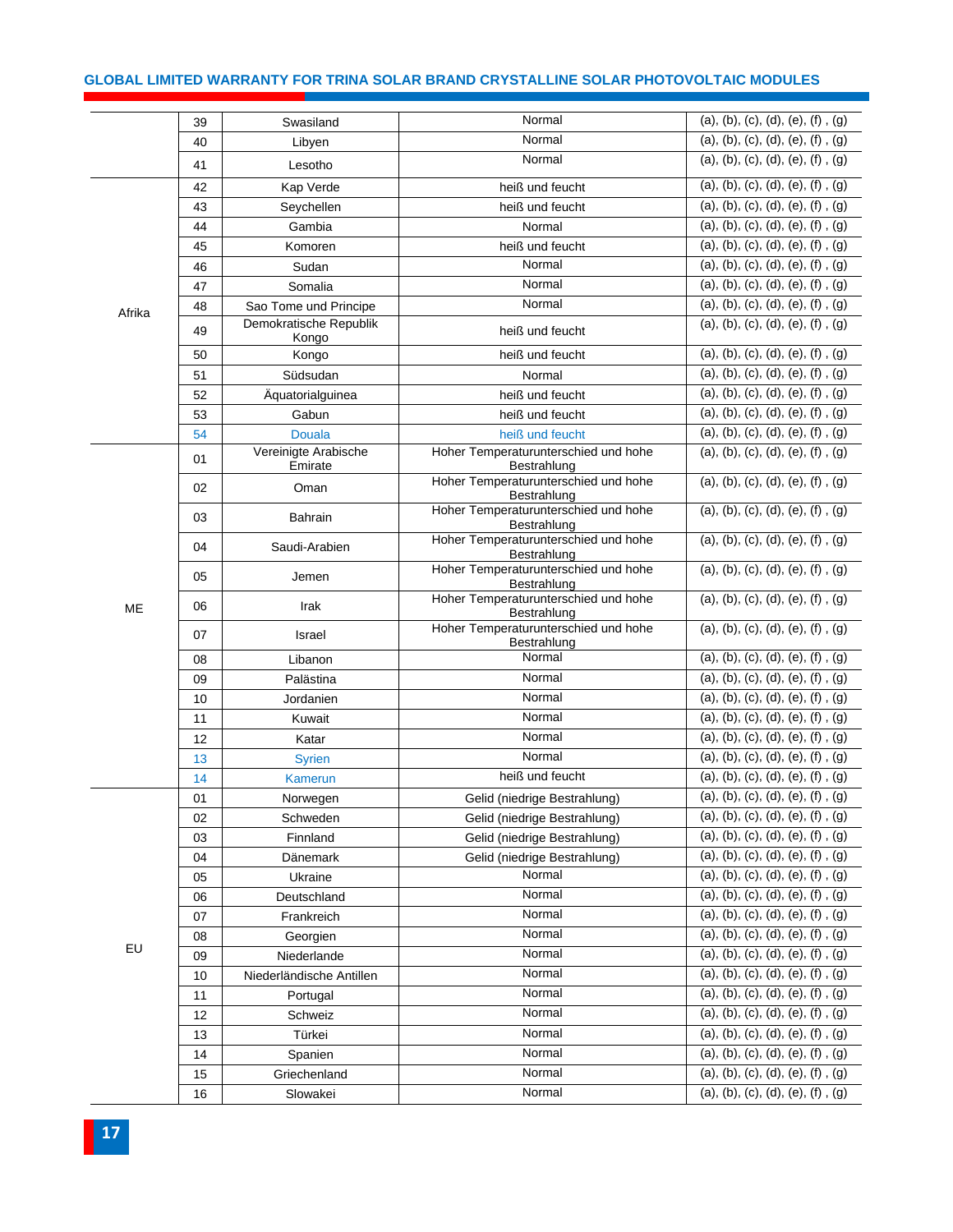#### **GLOBAL LIMITED WARRANTY FOR TRINA SOLAR BRAND CRYSTALLINE SOLAR PHOTOVOLTAIC MODULES**

|        | 39 | Swasiland                       | Normal                                              | (a), (b), (c), (d), (e), (f), (g)      |
|--------|----|---------------------------------|-----------------------------------------------------|----------------------------------------|
|        | 40 | Libyen                          | Normal                                              | (a), (b), (c), (d), (e), (f), (g)      |
|        | 41 | Lesotho                         | Normal                                              | (a), (b), (c), (d), (e), (f), (g)      |
|        | 42 | Kap Verde                       | heiß und feucht                                     | (a), (b), (c), (d), (e), (f), (g)      |
|        | 43 | Seychellen                      | heiß und feucht                                     | (a), (b), (c), (d), (e), (f), (g)      |
|        | 44 | Gambia                          | Normal                                              | $(a), (b), (c), (d), (e), (f)$ , $(g)$ |
|        | 45 | Komoren                         | heiß und feucht                                     | (a), (b), (c), (d), (e), (f), (g)      |
|        | 46 | Sudan                           | Normal                                              | (a), (b), (c), (d), (e), (f), (g)      |
|        | 47 | Somalia                         | Normal                                              | (a), (b), (c), (d), (e), (f), (g)      |
| Afrika | 48 | Sao Tome und Principe           | Normal                                              | (a), (b), (c), (d), (e), (f), (g)      |
|        | 49 | Demokratische Republik<br>Kongo | heiß und feucht                                     | (a), (b), (c), (d), (e), (f), (g)      |
|        | 50 | Kongo                           | heiß und feucht                                     | (a), (b), (c), (d), (e), (f), (g)      |
|        | 51 | Südsudan                        | Normal                                              | (a), (b), (c), (d), (e), (f), (g)      |
|        | 52 | Äquatorialguinea                | heiß und feucht                                     | (a), (b), (c), (d), (e), (f), (g)      |
|        | 53 | Gabun                           | heiß und feucht                                     | (a), (b), (c), (d), (e), (f), (g)      |
|        | 54 | <b>Douala</b>                   | heiß und feucht                                     | (a), (b), (c), (d), (e), (f), (g)      |
|        | 01 | Vereinigte Arabische<br>Emirate | Hoher Temperaturunterschied und hohe<br>Bestrahlung | (a), (b), (c), (d), (e), (f), (g)      |
|        | 02 | Oman                            | Hoher Temperaturunterschied und hohe<br>Bestrahlung | (a), (b), (c), (d), (e), (f), (g)      |
|        | 03 | Bahrain                         | Hoher Temperaturunterschied und hohe<br>Bestrahlung | (a), (b), (c), (d), (e), (f), (g)      |
|        | 04 | Saudi-Arabien                   | Hoher Temperaturunterschied und hohe<br>Bestrahlung | (a), (b), (c), (d), (e), (f), (g)      |
|        | 05 | Jemen                           | Hoher Temperaturunterschied und hohe<br>Bestrahlung | (a), (b), (c), (d), (e), (f), (g)      |
| ME     | 06 | Irak                            | Hoher Temperaturunterschied und hohe<br>Bestrahlung | (a), (b), (c), (d), (e), (f), (g)      |
|        | 07 | Israel                          | Hoher Temperaturunterschied und hohe<br>Bestrahlung | (a), (b), (c), (d), (e), (f), (g)      |
|        | 08 | Libanon                         | Normal                                              | (a), (b), (c), (d), (e), (f), (g)      |
|        | 09 | Palästina                       | Normal                                              | (a), (b), (c), (d), (e), (f), (g)      |
|        | 10 | Jordanien                       | Normal                                              | (a), (b), (c), (d), (e), (f), (g)      |
|        | 11 | Kuwait                          | Normal                                              | (a), (b), (c), (d), (e), (f), (g)      |
|        | 12 | Katar                           | Normal                                              | (a), (b), (c), (d), (e), (f), (g)      |
|        | 13 | <b>Syrien</b>                   | Normal                                              | (a), (b), (c), (d), (e), (f), (g)      |
|        | 14 | <b>Kamerun</b>                  | heiß und feucht                                     | (a), (b), (c), (d), (e), (f), (g)      |
|        | 01 | Norwegen                        | Gelid (niedrige Bestrahlung)                        | (a), (b), (c), (d), (e), (f), (g)      |
|        | 02 | Schweden                        | Gelid (niedrige Bestrahlung)                        | (a), (b), (c), (d), (e), (f), (g)      |
|        | 03 | Finnland                        | Gelid (niedrige Bestrahlung)                        | (a), (b), (c), (d), (e), (f), (g)      |
|        | 04 | Dänemark                        | Gelid (niedrige Bestrahlung)                        | (a), (b), (c), (d), (e), (f), (g)      |
|        | 05 | Ukraine                         | Normal                                              | (a), (b), (c), (d), (e), (f), (g)      |
|        | 06 | Deutschland                     | Normal                                              | (a), (b), (c), (d), (e), (f), (g)      |
|        | 07 | Frankreich                      | Normal                                              | (a), (b), (c), (d), (e), (f), (g)      |
|        | 08 | Georgien                        | Normal                                              | (a), (b), (c), (d), (e), (f), (g)      |
| EU     | 09 | Niederlande                     | Normal                                              | (a), (b), (c), (d), (e), (f), (g)      |
|        | 10 | Niederländische Antillen        | Normal                                              | (a), (b), (c), (d), (e), (f), (g)      |
|        | 11 | Portugal                        | Normal                                              | (a), (b), (c), (d), (e), (f), (g)      |
|        | 12 | Schweiz                         | Normal                                              | (a), (b), (c), (d), (e), (f), (g)      |
|        | 13 | Türkei                          | Normal                                              | (a), (b), (c), (d), (e), (f), (g)      |
|        | 14 | Spanien                         | Normal                                              | (a), (b), (c), (d), (e), (f), (g)      |
|        | 15 | Griechenland                    | Normal                                              | (a), (b), (c), (d), (e), (f), (g)      |
|        | 16 | Slowakei                        | Normal                                              | (a), (b), (c), (d), (e), (f), (g)      |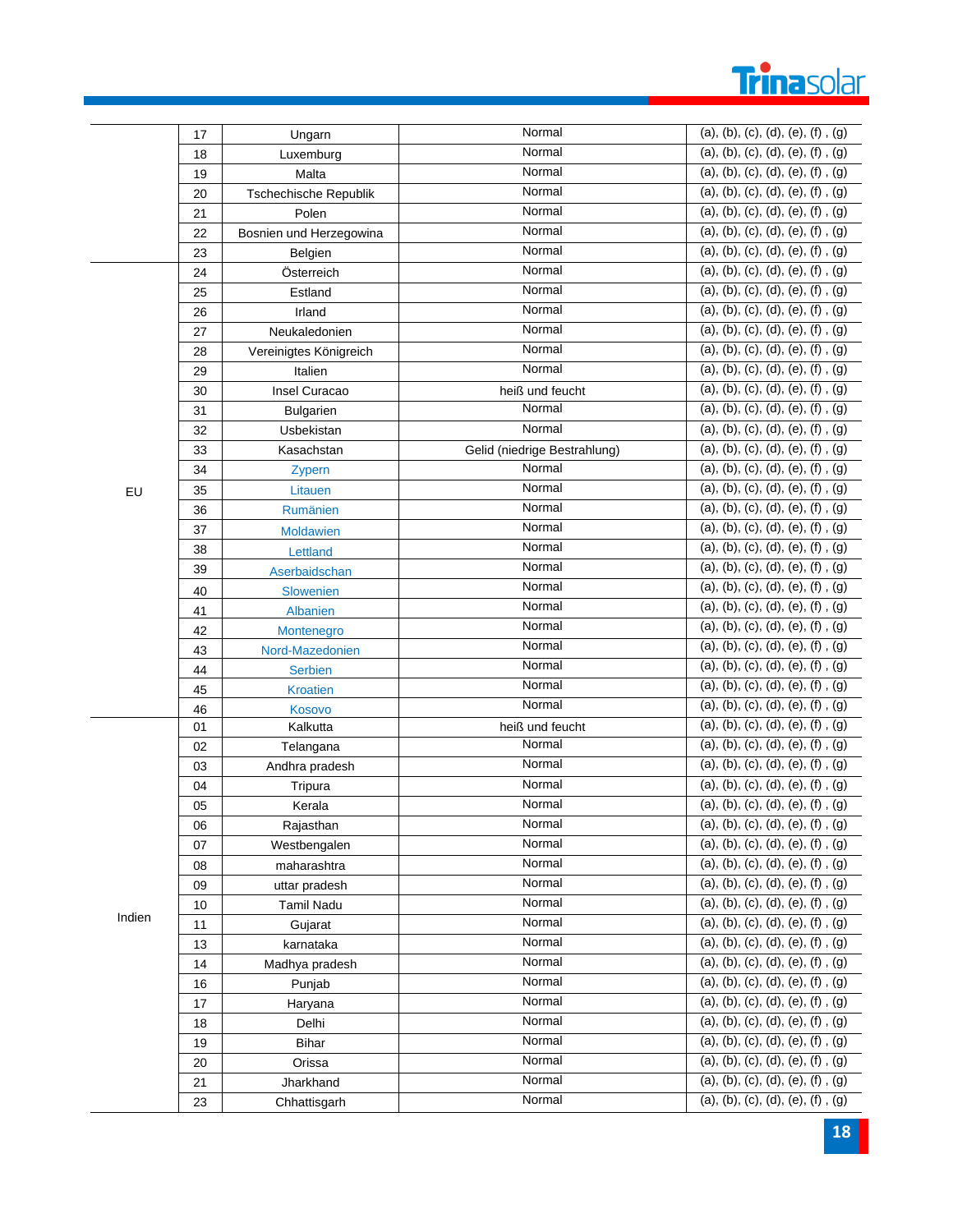# Trinasolar

|        | 17 | Ungarn                  | Normal                       | (a), (b), (c), (d), (e), (f), (g)      |
|--------|----|-------------------------|------------------------------|----------------------------------------|
|        | 18 | Luxemburg               | Normal                       | (a), (b), (c), (d), (e), (f), (g)      |
|        | 19 | Malta                   | Normal                       | (a), (b), (c), (d), (e), (f), (g)      |
|        | 20 | Tschechische Republik   | Normal                       | (a), (b), (c), (d), (e), (f), (g)      |
|        | 21 | Polen                   | Normal                       | (a), (b), (c), (d), (e), (f), (g)      |
|        | 22 | Bosnien und Herzegowina | Normal                       | (a), (b), (c), (d), (e), (f), (g)      |
|        | 23 | Belgien                 | Normal                       | (a), (b), (c), (d), (e), (f), (g)      |
|        | 24 | Österreich              | Normal                       | (a), (b), (c), (d), (e), (f), (g)      |
|        | 25 | Estland                 | Normal                       | (a), (b), (c), (d), (e), (f), (g)      |
|        | 26 | Irland                  | Normal                       | (a), (b), (c), (d), (e), (f), (g)      |
|        | 27 | Neukaledonien           | Normal                       | (a), (b), (c), (d), (e), (f), (g)      |
|        | 28 | Vereinigtes Königreich  | Normal                       | (a), (b), (c), (d), (e), (f), (g)      |
|        | 29 | Italien                 | Normal                       | (a), (b), (c), (d), (e), (f), (g)      |
|        | 30 | Insel Curacao           | heiß und feucht              | (a), (b), (c), (d), (e), (f), (g)      |
|        | 31 | Bulgarien               | Normal                       | (a), (b), (c), (d), (e), (f), (g)      |
|        | 32 | Usbekistan              | Normal                       | (a), (b), (c), (d), (e), (f), (g)      |
|        | 33 | Kasachstan              | Gelid (niedrige Bestrahlung) | (a), (b), (c), (d), (e), (f), (g)      |
|        | 34 | Zypern                  | Normal                       | (a), (b), (c), (d), (e), (f), (g)      |
| EU     | 35 | Litauen                 | Normal                       | (a), (b), (c), (d), (e), (f), (g)      |
|        | 36 | Rumänien                | Normal                       | (a), (b), (c), (d), (e), (f), (g)      |
|        | 37 | Moldawien               | Normal                       | (a), (b), (c), (d), (e), (f), (g)      |
|        | 38 | Lettland                | Normal                       | (a), (b), (c), (d), (e), (f), (g)      |
|        | 39 | Aserbaidschan           | Normal                       | (a), (b), (c), (d), (e), (f), (g)      |
|        | 40 | Slowenien               | Normal                       | (a), (b), (c), (d), (e), (f), (g)      |
|        | 41 | Albanien                | Normal                       | (a), (b), (c), (d), (e), (f), (g)      |
|        | 42 | Montenegro              | Normal                       | (a), (b), (c), (d), (e), (f), (g)      |
|        | 43 | Nord-Mazedonien         | Normal                       | (a), (b), (c), (d), (e), (f), (g)      |
|        | 44 | Serbien                 | Normal                       | (a), (b), (c), (d), (e), (f), (g)      |
|        | 45 | <b>Kroatien</b>         | Normal                       | (a), (b), (c), (d), (e), (f), (g)      |
|        | 46 | Kosovo                  | Normal                       | (a), (b), (c), (d), (e), (f), (g)      |
|        | 01 | Kalkutta                | heiß und feucht              | (a), (b), (c), (d), (e), (f), (g)      |
|        | 02 | Telangana               | Normal                       | (a), (b), (c), (d), (e), (f), (g)      |
|        | 03 | Andhra pradesh          | Normal                       | (a), (b), (c), (d), (e), (f), (g)      |
|        | 04 | Tripura                 | Normal                       | (a), (b), (c), (d), (e), (f), (g)      |
|        | 05 | Kerala                  | Normal                       | (a), (b), (c), (d), (e), (f), (g)      |
|        | 06 | Rajasthan               | Normal                       | (a), (b), (c), (d), (e), (f), (g)      |
|        | 07 | Westbengalen            | Normal                       | (a), (b), (c), (d), (e), (f), (g)      |
|        | 08 | maharashtra             | Normal                       | $(a), (b), (c), (d), (e), (f)$ , $(g)$ |
|        | 09 | uttar pradesh           | Normal                       | (a), (b), (c), (d), (e), (f), (g)      |
|        | 10 | <b>Tamil Nadu</b>       | Normal                       | (a), (b), (c), (d), (e), (f), (g)      |
| Indien | 11 | Gujarat                 | Normal                       | (a), (b), (c), (d), (e), (f), (g)      |
|        | 13 | karnataka               | Normal                       | (a), (b), (c), (d), (e), (f), (g)      |
|        | 14 | Madhya pradesh          | Normal                       | (a), (b), (c), (d), (e), (f), (g)      |
|        | 16 | Punjab                  | Normal                       | (a), (b), (c), (d), (e), (f), (g)      |
|        | 17 | Haryana                 | Normal                       | (a), (b), (c), (d), (e), (f), (g)      |
|        | 18 | Delhi                   | Normal                       | (a), (b), (c), (d), (e), (f), (g)      |
|        | 19 | <b>Bihar</b>            | Normal                       | (a), (b), (c), (d), (e), (f), (g)      |
|        | 20 | Orissa                  | Normal                       | (a), (b), (c), (d), (e), (f), (g)      |
|        | 21 | Jharkhand               | Normal                       | (a), (b), (c), (d), (e), (f), (g)      |
|        | 23 | Chhattisgarh            | Normal                       | (a), (b), (c), (d), (e), (f), (g)      |
|        |    |                         |                              |                                        |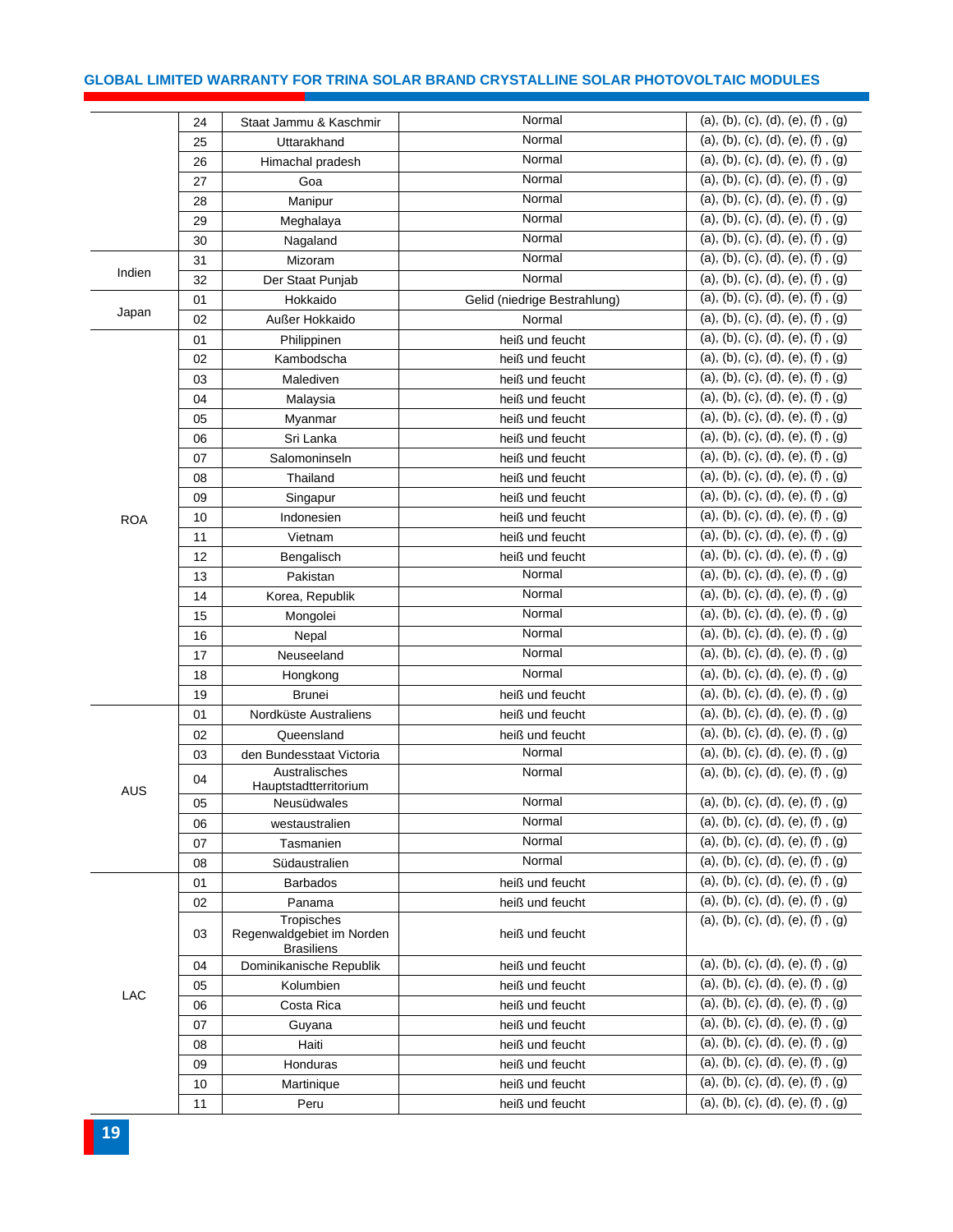#### **GLOBAL LIMITED WARRANTY FOR TRINA SOLAR BRAND CRYSTALLINE SOLAR PHOTOVOLTAIC MODULES**

|            | 24 | Staat Jammu & Kaschmir                                       | Normal                       | (a), (b), (c), (d), (e), (f), (g)      |
|------------|----|--------------------------------------------------------------|------------------------------|----------------------------------------|
|            | 25 | Uttarakhand                                                  | Normal                       | (a), (b), (c), (d), (e), (f), (g)      |
|            | 26 | Himachal pradesh                                             | Normal                       | (a), (b), (c), (d), (e), (f), (g)      |
|            | 27 | Goa                                                          | Normal                       | (a), (b), (c), (d), (e), (f), (g)      |
|            | 28 | Manipur                                                      | Normal                       | (a), (b), (c), (d), (e), (f), (g)      |
|            | 29 | Meghalaya                                                    | Normal                       | (a), (b), (c), (d), (e), (f), (g)      |
|            | 30 | Nagaland                                                     | Normal                       | (a), (b), (c), (d), (e), (f), (g)      |
|            | 31 | Mizoram                                                      | Normal                       | (a), (b), (c), (d), (e), (f), (g)      |
| Indien     | 32 | Der Staat Punjab                                             | Normal                       | (a), (b), (c), (d), (e), (f), (g)      |
|            | 01 | Hokkaido                                                     | Gelid (niedrige Bestrahlung) | (a), (b), (c), (d), (e), (f), (g)      |
| Japan      | 02 | Außer Hokkaido                                               | Normal                       | (a), (b), (c), (d), (e), (f), (g)      |
|            | 01 | Philippinen                                                  | heiß und feucht              | (a), (b), (c), (d), (e), (f), (g)      |
|            | 02 | Kambodscha                                                   | heiß und feucht              | (a), (b), (c), (d), (e), (f), (g)      |
|            | 03 | Malediven                                                    | heiß und feucht              | (a), (b), (c), (d), (e), (f), (g)      |
|            | 04 | Malaysia                                                     | heiß und feucht              | (a), (b), (c), (d), (e), (f), (g)      |
|            | 05 | Myanmar                                                      | heiß und feucht              | (a), (b), (c), (d), (e), (f), (g)      |
|            | 06 | Sri Lanka                                                    | heiß und feucht              | (a), (b), (c), (d), (e), (f), (g)      |
|            | 07 | Salomoninseln                                                | heiß und feucht              | (a), (b), (c), (d), (e), (f), (g)      |
|            | 08 | Thailand                                                     | heiß und feucht              | (a), (b), (c), (d), (e), (f), (g)      |
|            | 09 | Singapur                                                     | heiß und feucht              | (a), (b), (c), (d), (e), (f), (g)      |
| <b>ROA</b> | 10 | Indonesien                                                   | heiß und feucht              | (a), (b), (c), (d), (e), (f), (g)      |
|            | 11 | Vietnam                                                      | heiß und feucht              | (a), (b), (c), (d), (e), (f), (g)      |
|            | 12 | Bengalisch                                                   | heiß und feucht              | (a), (b), (c), (d), (e), (f), (g)      |
|            | 13 | Pakistan                                                     | Normal                       | (a), (b), (c), (d), (e), (f), (g)      |
|            | 14 | Korea, Republik                                              | Normal                       | (a), (b), (c), (d), (e), (f), (g)      |
|            | 15 | Mongolei                                                     | Normal                       | (a), (b), (c), (d), (e), (f), (g)      |
|            | 16 | Nepal                                                        | Normal                       | (a), (b), (c), (d), (e), (f), (g)      |
|            | 17 | Neuseeland                                                   | Normal                       | (a), (b), (c), (d), (e), (f), (g)      |
|            | 18 | Hongkong                                                     | Normal                       | (a), (b), (c), (d), (e), (f), (g)      |
|            | 19 | <b>Brunei</b>                                                | heiß und feucht              | (a), (b), (c), (d), (e), (f), (g)      |
|            | 01 | Nordküste Australiens                                        | heiß und feucht              | (a), (b), (c), (d), (e), (f), (g)      |
|            | 02 | Queensland                                                   | heiß und feucht              | (a), (b), (c), (d), (e), (f), (g)      |
|            | 03 | den Bundesstaat Victoria                                     | Normal                       | (a), (b), (c), (d), (e), (f), (g)      |
| AUS        | 04 | Australisches<br>Hauptstadtterritorium                       | Normal                       | (a), (b), (c), (d), (e), (f), (g)      |
|            | 05 | Neusüdwales                                                  | Normal                       | (a), (b), (c), (d), (e), (f), (g)      |
|            | 06 | westaustralien                                               | Normal                       | (a), (b), (c), (d), (e), (f), (g)      |
|            | 07 | Tasmanien                                                    | Normal                       | (a), (b), (c), (d), (e), (f), (g)      |
|            | 08 | Südaustralien                                                | Normal                       | (a), (b), (c), (d), (e), (f), (g)      |
|            | 01 | <b>Barbados</b>                                              | heiß und feucht              | (a), (b), (c), (d), (e), (f), (g)      |
|            | 02 | Panama                                                       | heiß und feucht              | (a), (b), (c), (d), (e), (f), (g)      |
|            | 03 | Tropisches<br>Regenwaldgebiet im Norden<br><b>Brasiliens</b> | heiß und feucht              | (a), (b), (c), (d), (e), (f), (g)      |
|            | 04 | Dominikanische Republik                                      | heiß und feucht              | (a), (b), (c), (d), (e), (f), (g)      |
|            | 05 | Kolumbien                                                    | heiß und feucht              | (a), (b), (c), (d), (e), (f), (g)      |
| <b>LAC</b> | 06 | Costa Rica                                                   | heiß und feucht              | $(a), (b), (c), (d), (e), (f)$ , $(g)$ |
|            | 07 | Guyana                                                       | heiß und feucht              | (a), (b), (c), (d), (e), (f), (g)      |
|            | 08 | Haiti                                                        | heiß und feucht              | (a), (b), (c), (d), (e), (f), (g)      |
|            | 09 | Honduras                                                     | heiß und feucht              | (a), (b), (c), (d), (e), (f), (g)      |
|            | 10 | Martinique                                                   | heiß und feucht              | (a), (b), (c), (d), (e), (f), (g)      |
|            | 11 | Peru                                                         | heiß und feucht              | (a), (b), (c), (d), (e), (f), (g)      |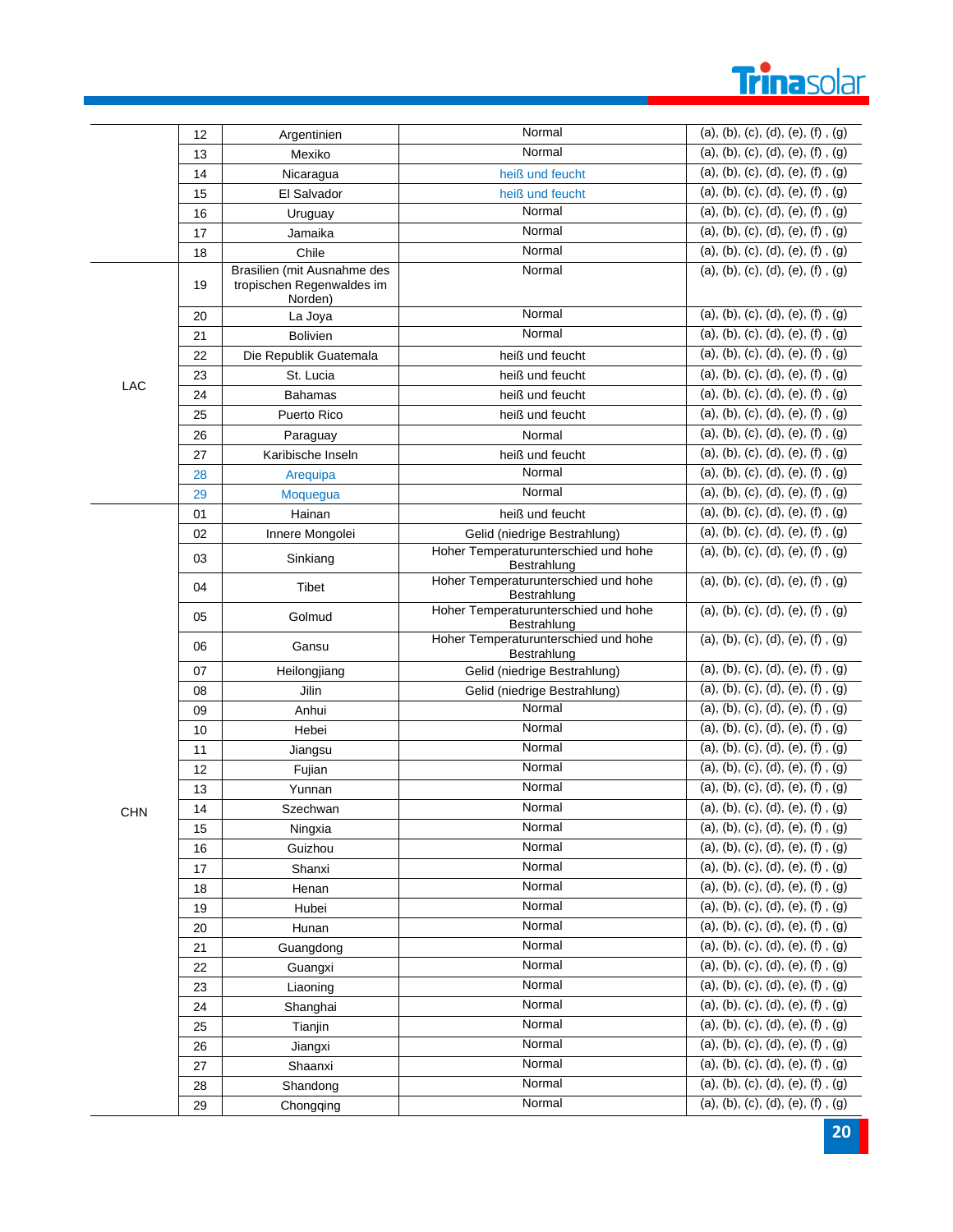## **Trinasolar**

|            | 12 | Argentinien                                                         | Normal                                                                                                                                                                                                                                                                                                                                                                                                                                         | (a), (b), (c), (d), (e), (f), (g)      |
|------------|----|---------------------------------------------------------------------|------------------------------------------------------------------------------------------------------------------------------------------------------------------------------------------------------------------------------------------------------------------------------------------------------------------------------------------------------------------------------------------------------------------------------------------------|----------------------------------------|
|            | 13 | Mexiko                                                              | Normal                                                                                                                                                                                                                                                                                                                                                                                                                                         | (a), (b), (c), (d), (e), (f), (g)      |
|            | 14 | Nicaragua                                                           | heiß und feucht                                                                                                                                                                                                                                                                                                                                                                                                                                | (a), (b), (c), (d), (e), (f), (g)      |
|            | 15 | El Salvador                                                         | heiß und feucht                                                                                                                                                                                                                                                                                                                                                                                                                                | (a), (b), (c), (d), (e), (f), (g)      |
|            | 16 | Uruguay                                                             | Normal                                                                                                                                                                                                                                                                                                                                                                                                                                         | (a), (b), (c), (d), (e), (f), (g)      |
|            | 17 | Jamaika                                                             | Normal                                                                                                                                                                                                                                                                                                                                                                                                                                         | (a), (b), (c), (d), (e), (f), (g)      |
|            | 18 | Chile                                                               | Normal                                                                                                                                                                                                                                                                                                                                                                                                                                         | (a), (b), (c), (d), (e), (f), (g)      |
|            | 19 | Brasilien (mit Ausnahme des<br>tropischen Regenwaldes im<br>Norden) | Normal                                                                                                                                                                                                                                                                                                                                                                                                                                         | (a), (b), (c), (d), (e), (f), (g)      |
|            | 20 | La Joya                                                             | Normal                                                                                                                                                                                                                                                                                                                                                                                                                                         | (a), (b), (c), (d), (e), (f), (g)      |
|            | 21 | <b>Bolivien</b>                                                     | Normal                                                                                                                                                                                                                                                                                                                                                                                                                                         | (a), (b), (c), (d), (e), (f), (g)      |
|            | 22 | Die Republik Guatemala                                              | heiß und feucht                                                                                                                                                                                                                                                                                                                                                                                                                                | (a), (b), (c), (d), (e), (f), (g)      |
| LAC        | 23 | St. Lucia                                                           | heiß und feucht                                                                                                                                                                                                                                                                                                                                                                                                                                | (a), (b), (c), (d), (e), (f), (g)      |
|            | 24 | <b>Bahamas</b>                                                      | heiß und feucht                                                                                                                                                                                                                                                                                                                                                                                                                                | (a), (b), (c), (d), (e), (f), (g)      |
|            | 25 | Puerto Rico                                                         | heiß und feucht                                                                                                                                                                                                                                                                                                                                                                                                                                | (a), (b), (c), (d), (e), (f), (g)      |
|            | 26 | Paraguay                                                            | Normal                                                                                                                                                                                                                                                                                                                                                                                                                                         | (a), (b), (c), (d), (e), (f), (g)      |
|            | 27 | Karibische Inseln                                                   | heiß und feucht                                                                                                                                                                                                                                                                                                                                                                                                                                | (a), (b), (c), (d), (e), (f), (g)      |
|            | 28 | Arequipa                                                            | Normal                                                                                                                                                                                                                                                                                                                                                                                                                                         | (a), (b), (c), (d), (e), (f), (g)      |
|            | 29 | Moquegua                                                            | Normal                                                                                                                                                                                                                                                                                                                                                                                                                                         | (a), (b), (c), (d), (e), (f), (g)      |
|            | 01 | Hainan                                                              | heiß und feucht                                                                                                                                                                                                                                                                                                                                                                                                                                | (a), (b), (c), (d), (e), (f), (g)      |
|            | 02 | Innere Mongolei                                                     | Gelid (niedrige Bestrahlung)                                                                                                                                                                                                                                                                                                                                                                                                                   | (a), (b), (c), (d), (e), (f), (g)      |
|            | 03 | Sinkiang                                                            | Bestrahlung                                                                                                                                                                                                                                                                                                                                                                                                                                    | (a), (b), (c), (d), (e), (f), (g)      |
|            | 04 | Tibet                                                               | Bestrahlung                                                                                                                                                                                                                                                                                                                                                                                                                                    | (a), (b), (c), (d), (e), (f), (g)      |
|            | 05 | Golmud                                                              | Bestrahlung                                                                                                                                                                                                                                                                                                                                                                                                                                    | (a), (b), (c), (d), (e), (f), (g)      |
|            | 06 | Gansu                                                               | Bestrahlung                                                                                                                                                                                                                                                                                                                                                                                                                                    | (a), (b), (c), (d), (e), (f), (g)      |
|            | 07 | Heilongjiang                                                        |                                                                                                                                                                                                                                                                                                                                                                                                                                                | (a), (b), (c), (d), (e), (f), (g)      |
|            | 08 | Jilin                                                               |                                                                                                                                                                                                                                                                                                                                                                                                                                                | (a), (b), (c), (d), (e), (f), (g)      |
|            | 09 | Anhui                                                               |                                                                                                                                                                                                                                                                                                                                                                                                                                                | (a), (b), (c), (d), (e), (f), (g)      |
|            | 10 | Hebei                                                               |                                                                                                                                                                                                                                                                                                                                                                                                                                                | (a), (b), (c), (d), (e), (f), (g)      |
|            | 11 | Jiangsu                                                             |                                                                                                                                                                                                                                                                                                                                                                                                                                                | (a), (b), (c), (d), (e), (f), (g)      |
|            | 12 | Fujian                                                              | Hoher Temperaturunterschied und hohe<br>Hoher Temperaturunterschied und hohe<br>Hoher Temperaturunterschied und hohe<br>Hoher Temperaturunterschied und hohe<br>Gelid (niedrige Bestrahlung)<br>Gelid (niedrige Bestrahlung)<br>Normal<br>Normal<br>Normal<br>Normal<br>Normal<br>Normal<br>Normal<br>Normal<br>Normal<br>Normal<br>Normal<br>Normal<br>Normal<br>Normal<br>Normal<br>Normal<br>Normal<br>Normal<br>Normal<br>Normal<br>Normal | (a), (b), (c), (d), (e), (f), (g)      |
|            | 13 | Yunnan                                                              |                                                                                                                                                                                                                                                                                                                                                                                                                                                | (a), (b), (c), (d), (e), (f), (g)      |
| <b>CHN</b> | 14 | Szechwan                                                            |                                                                                                                                                                                                                                                                                                                                                                                                                                                | (a), (b), (c), (d), (e), (f), (g)      |
|            | 15 | Ningxia                                                             |                                                                                                                                                                                                                                                                                                                                                                                                                                                | (a), (b), (c), (d), (e), (f), (g)      |
|            | 16 | Guizhou                                                             |                                                                                                                                                                                                                                                                                                                                                                                                                                                | (a), (b), (c), (d), (e), (f), (g)      |
|            | 17 | Shanxi                                                              |                                                                                                                                                                                                                                                                                                                                                                                                                                                | (a), (b), (c), (d), (e), (f), (g)      |
|            | 18 | Henan                                                               |                                                                                                                                                                                                                                                                                                                                                                                                                                                | (a), (b), (c), (d), (e), (f), (g)      |
|            | 19 | Hubei                                                               |                                                                                                                                                                                                                                                                                                                                                                                                                                                | (a), (b), (c), (d), (e), (f), (g)      |
|            | 20 | Hunan                                                               |                                                                                                                                                                                                                                                                                                                                                                                                                                                | $(a), (b), (c), (d), (e), (f)$ , $(g)$ |
|            | 21 | Guangdong                                                           |                                                                                                                                                                                                                                                                                                                                                                                                                                                | (a), (b), (c), (d), (e), (f), (g)      |
|            | 22 | Guangxi                                                             |                                                                                                                                                                                                                                                                                                                                                                                                                                                | (a), (b), (c), (d), (e), (f), (g)      |
|            | 23 | Liaoning                                                            |                                                                                                                                                                                                                                                                                                                                                                                                                                                | (a), (b), (c), (d), (e), (f), (g)      |
|            | 24 | Shanghai                                                            |                                                                                                                                                                                                                                                                                                                                                                                                                                                | (a), (b), (c), (d), (e), (f), (g)      |
|            | 25 | Tianjin                                                             |                                                                                                                                                                                                                                                                                                                                                                                                                                                | (a), (b), (c), (d), (e), (f), (g)      |
|            | 26 | Jiangxi                                                             |                                                                                                                                                                                                                                                                                                                                                                                                                                                | $(a), (b), (c), (d), (e), (f)$ , $(g)$ |
|            | 27 | Shaanxi                                                             |                                                                                                                                                                                                                                                                                                                                                                                                                                                | (a), (b), (c), (d), (e), (f), (g)      |
|            | 28 | Shandong                                                            |                                                                                                                                                                                                                                                                                                                                                                                                                                                | (a), (b), (c), (d), (e), (f), (g)      |
|            | 29 | Chongqing                                                           |                                                                                                                                                                                                                                                                                                                                                                                                                                                | (a), (b), (c), (d), (e), (f), (g)      |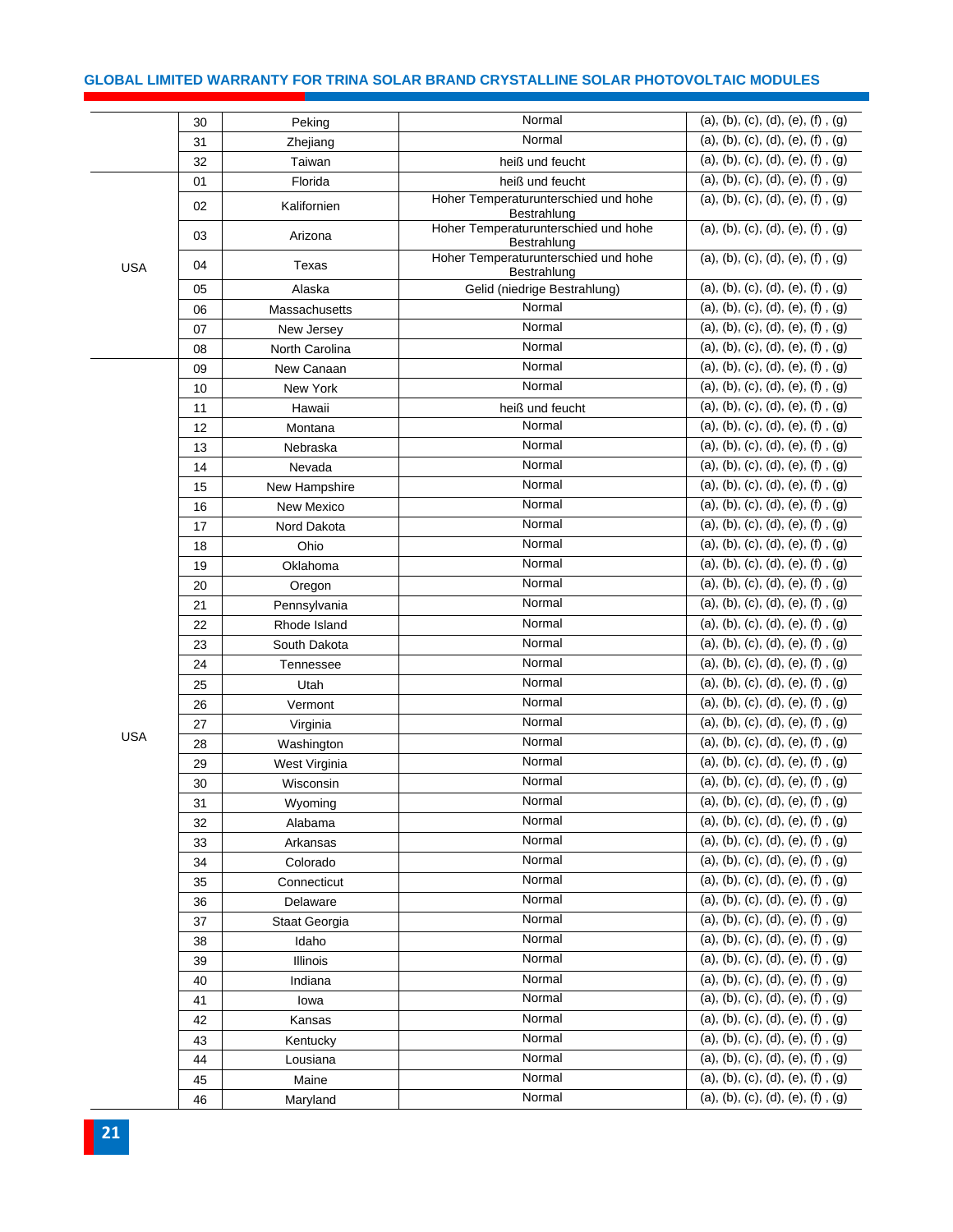#### **GLOBAL LIMITED WARRANTY FOR TRINA SOLAR BRAND CRYSTALLINE SOLAR PHOTOVOLTAIC MODULES**

|            | 30 | Peking         | Normal                                              | (a), (b), (c), (d), (e), (f), (g) |
|------------|----|----------------|-----------------------------------------------------|-----------------------------------|
|            | 31 | Zhejiang       | Normal                                              | (a), (b), (c), (d), (e), (f), (g) |
|            | 32 | Taiwan         | heiß und feucht                                     | (a), (b), (c), (d), (e), (f), (g) |
|            | 01 | Florida        | heiß und feucht                                     | (a), (b), (c), (d), (e), (f), (g) |
|            | 02 | Kalifornien    | Hoher Temperaturunterschied und hohe<br>Bestrahlung | (a), (b), (c), (d), (e), (f), (g) |
|            | 03 | Arizona        | Hoher Temperaturunterschied und hohe<br>Bestrahlung | (a), (b), (c), (d), (e), (f), (g) |
| <b>USA</b> | 04 | Texas          | Hoher Temperaturunterschied und hohe<br>Bestrahlung | (a), (b), (c), (d), (e), (f), (g) |
|            | 05 | Alaska         | Gelid (niedrige Bestrahlung)                        | (a), (b), (c), (d), (e), (f), (g) |
|            | 06 | Massachusetts  | Normal                                              | (a), (b), (c), (d), (e), (f), (g) |
|            | 07 | New Jersey     | Normal                                              | (a), (b), (c), (d), (e), (f), (g) |
|            | 08 | North Carolina | Normal                                              | (a), (b), (c), (d), (e), (f), (g) |
|            | 09 | New Canaan     | Normal                                              | (a), (b), (c), (d), (e), (f), (g) |
|            | 10 | New York       | Normal                                              | (a), (b), (c), (d), (e), (f), (g) |
|            | 11 | Hawaii         | heiß und feucht                                     | (a), (b), (c), (d), (e), (f), (g) |
|            | 12 | Montana        | Normal                                              | (a), (b), (c), (d), (e), (f), (g) |
|            | 13 | Nebraska       | Normal                                              | (a), (b), (c), (d), (e), (f), (g) |
|            | 14 | Nevada         | Normal                                              | (a), (b), (c), (d), (e), (f), (g) |
|            | 15 | New Hampshire  | Normal                                              | (a), (b), (c), (d), (e), (f), (g) |
|            | 16 | New Mexico     | Normal                                              | (a), (b), (c), (d), (e), (f), (g) |
|            | 17 | Nord Dakota    | Normal                                              | (a), (b), (c), (d), (e), (f), (g) |
|            | 18 | Ohio           | Normal                                              | (a), (b), (c), (d), (e), (f), (g) |
|            | 19 | Oklahoma       | Normal                                              | (a), (b), (c), (d), (e), (f), (g) |
|            | 20 | Oregon         | Normal                                              | (a), (b), (c), (d), (e), (f), (g) |
|            | 21 | Pennsylvania   | Normal                                              | (a), (b), (c), (d), (e), (f), (g) |
|            | 22 | Rhode Island   | Normal                                              | (a), (b), (c), (d), (e), (f), (g) |
|            | 23 | South Dakota   | Normal                                              | (a), (b), (c), (d), (e), (f), (g) |
|            | 24 | Tennessee      | Normal                                              | (a), (b), (c), (d), (e), (f), (g) |
|            | 25 | Utah           | Normal                                              | (a), (b), (c), (d), (e), (f), (g) |
|            | 26 | Vermont        | Normal                                              | (a), (b), (c), (d), (e), (f), (g) |
|            | 27 | Virginia       | Normal                                              | (a), (b), (c), (d), (e), (f), (g) |
| <b>USA</b> | 28 | Washington     | Normal                                              | (a), (b), (c), (d), (e), (f), (g) |
|            | 29 | West Virginia  | Normal                                              | (a), (b), (c), (d), (e), (f), (g) |
|            | 30 | Wisconsin      | Normal                                              | (a), (b), (c), (d), (e), (f), (g) |
|            | 31 | Wyoming        | Normal                                              | (a), (b), (c), (d), (e), (f), (g) |
|            | 32 | Alabama        | Normal                                              | (a), (b), (c), (d), (e), (f), (g) |
|            | 33 | Arkansas       | Normal                                              | (a), (b), (c), (d), (e), (f), (g) |
|            | 34 | Colorado       | Normal                                              | (a), (b), (c), (d), (e), (f), (g) |
|            | 35 | Connecticut    | Normal                                              | (a), (b), (c), (d), (e), (f), (g) |
|            | 36 | Delaware       | Normal                                              | (a), (b), (c), (d), (e), (f), (g) |
|            | 37 | Staat Georgia  | Normal                                              | (a), (b), (c), (d), (e), (f), (g) |
|            | 38 | Idaho          | Normal                                              | (a), (b), (c), (d), (e), (f), (g) |
|            | 39 | Illinois       | Normal                                              | (a), (b), (c), (d), (e), (f), (g) |
|            | 40 | Indiana        | Normal                                              | (a), (b), (c), (d), (e), (f), (g) |
|            | 41 | lowa           | Normal                                              | (a), (b), (c), (d), (e), (f), (g) |
|            | 42 | Kansas         | Normal                                              | (a), (b), (c), (d), (e), (f), (g) |
|            | 43 | Kentucky       | Normal                                              | (a), (b), (c), (d), (e), (f), (g) |
|            | 44 | Lousiana       | Normal                                              | (a), (b), (c), (d), (e), (f), (g) |
|            | 45 | Maine          | Normal                                              | (a), (b), (c), (d), (e), (f), (g) |
|            | 46 | Maryland       | Normal                                              | (a), (b), (c), (d), (e), (f), (g) |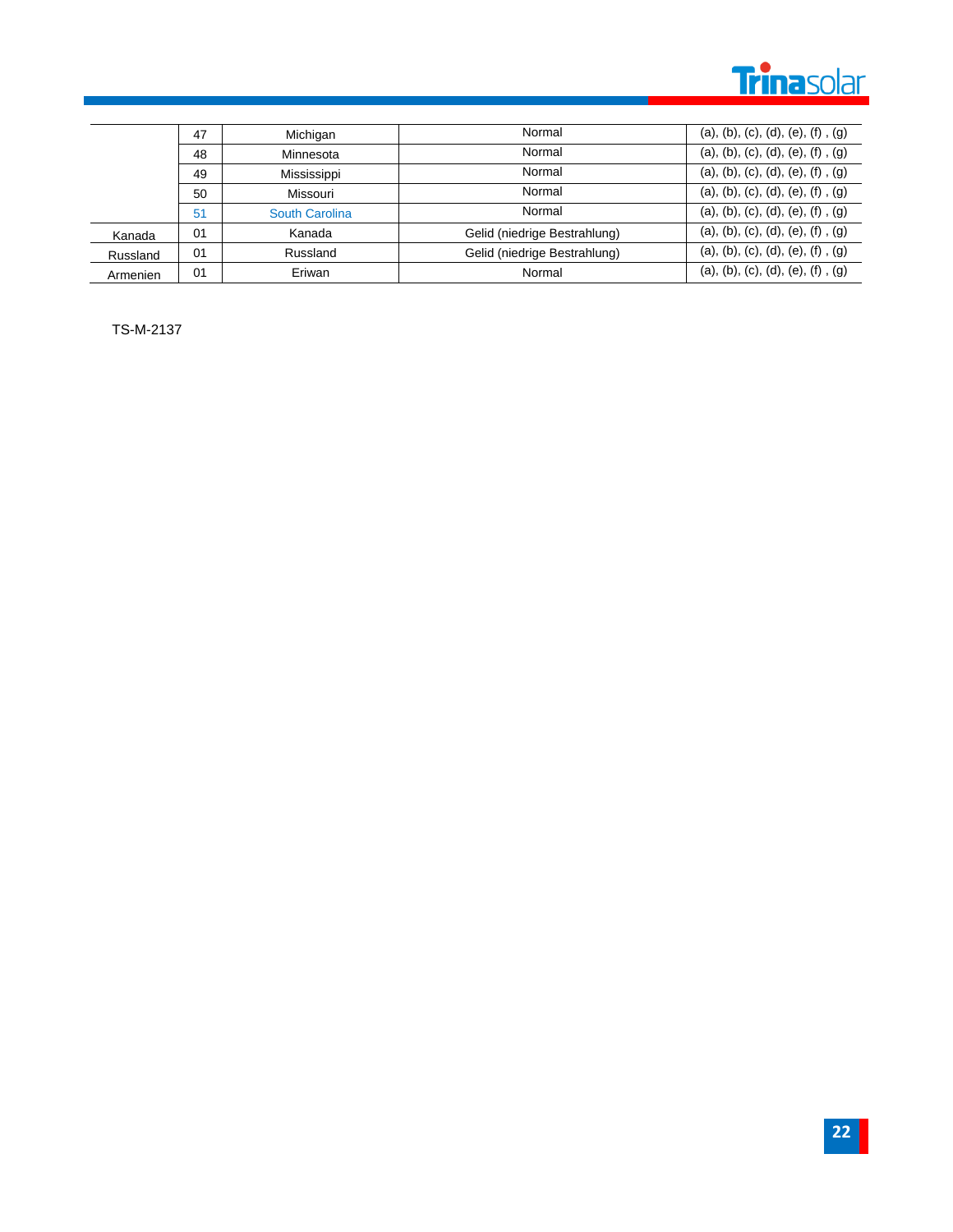

|          | 47 | Michigan       | Normal                       | (a), (b), (c), (d), (e), (f), (g) |
|----------|----|----------------|------------------------------|-----------------------------------|
|          | 48 | Minnesota      | Normal                       | (a), (b), (c), (d), (e), (f), (g) |
|          | 49 | Mississippi    | Normal                       | (a), (b), (c), (d), (e), (f), (g) |
|          | 50 | Missouri       | Normal                       | (a), (b), (c), (d), (e), (f), (g) |
|          | 51 | South Carolina | Normal                       | (a), (b), (c), (d), (e), (f), (g) |
| Kanada   | 01 | Kanada         | Gelid (niedrige Bestrahlung) | (a), (b), (c), (d), (e), (f), (g) |
| Russland | 01 | Russland       | Gelid (niedrige Bestrahlung) | (a), (b), (c), (d), (e), (f), (g) |
| Armenien | 01 | Eriwan         | Normal                       | (a), (b), (c), (d), (e), (f), (g) |

TS-M-2137